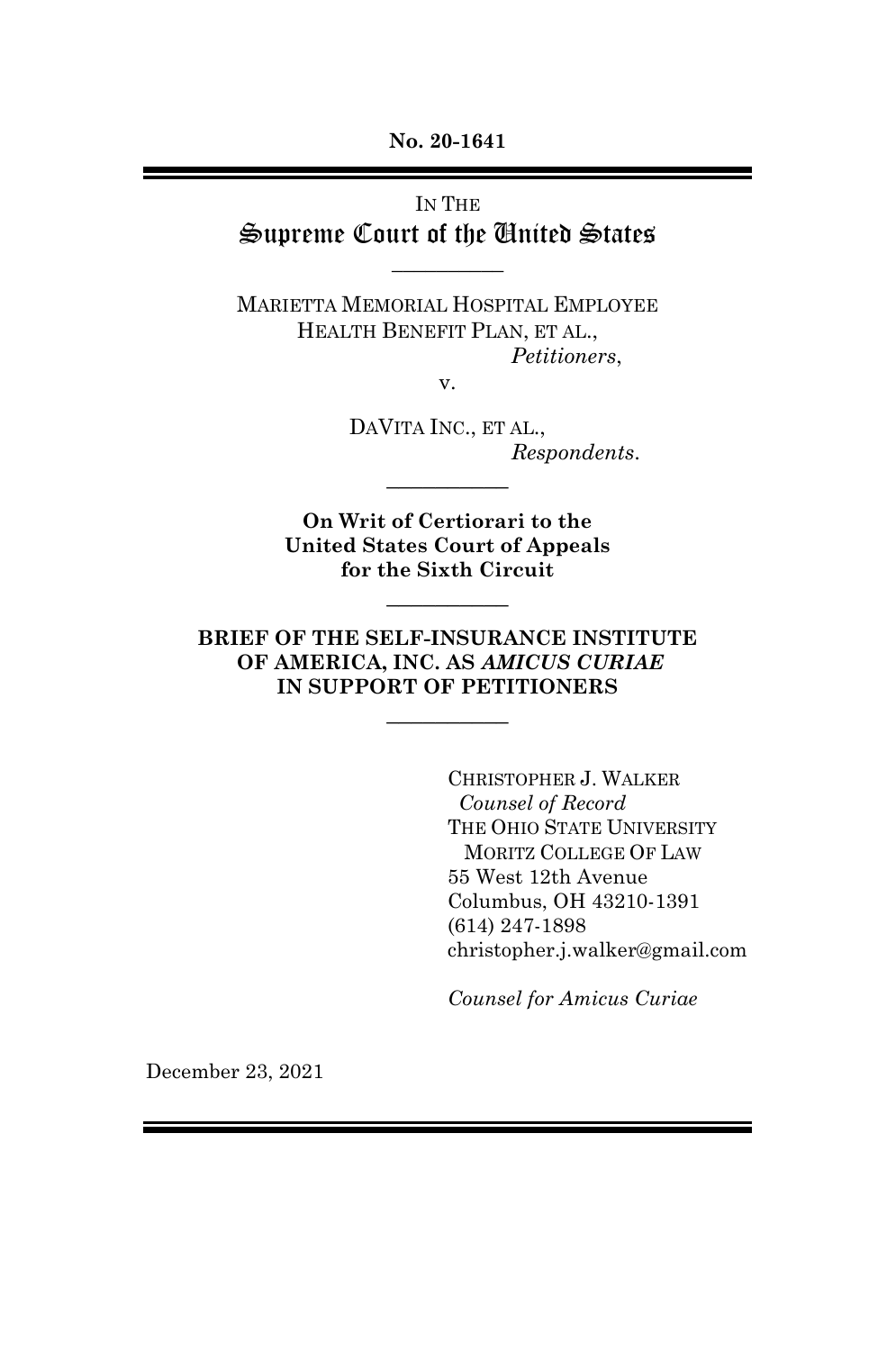**No. 20-1641**

## IN THE Supreme Court of the United States

\_\_\_\_\_\_\_\_\_\_

MARIETTA MEMORIAL HOSPITAL EMPLOYEE HEALTH BENEFIT PLAN, ET AL., *Petitioners*,

v.

DAVITA INC., ET AL., *Respondents*.

**On Writ of Certiorari to the United States Court of Appeals for the Sixth Circuit**

 $\overline{\phantom{a}}$  , where  $\overline{\phantom{a}}$ 

 $\overline{\phantom{a}}$  , where  $\overline{\phantom{a}}$ 

#### **BRIEF OF THE SELF-INSURANCE INSTITUTE OF AMERICA, INC. AS** *AMICUS CURIAE* **IN SUPPORT OF PETITIONERS**

 $\overline{\phantom{a}}$  , where  $\overline{\phantom{a}}$ 

CHRISTOPHER J. WALKER *Counsel of Record* THE OHIO STATE UNIVERSITY MORITZ COLLEGE OF LAW 55 West 12th Avenue Columbus, OH 43210-1391 (614) 247-1898 christopher.j.walker@gmail.com

*Counsel for Amicus Curiae*

December 23, 2021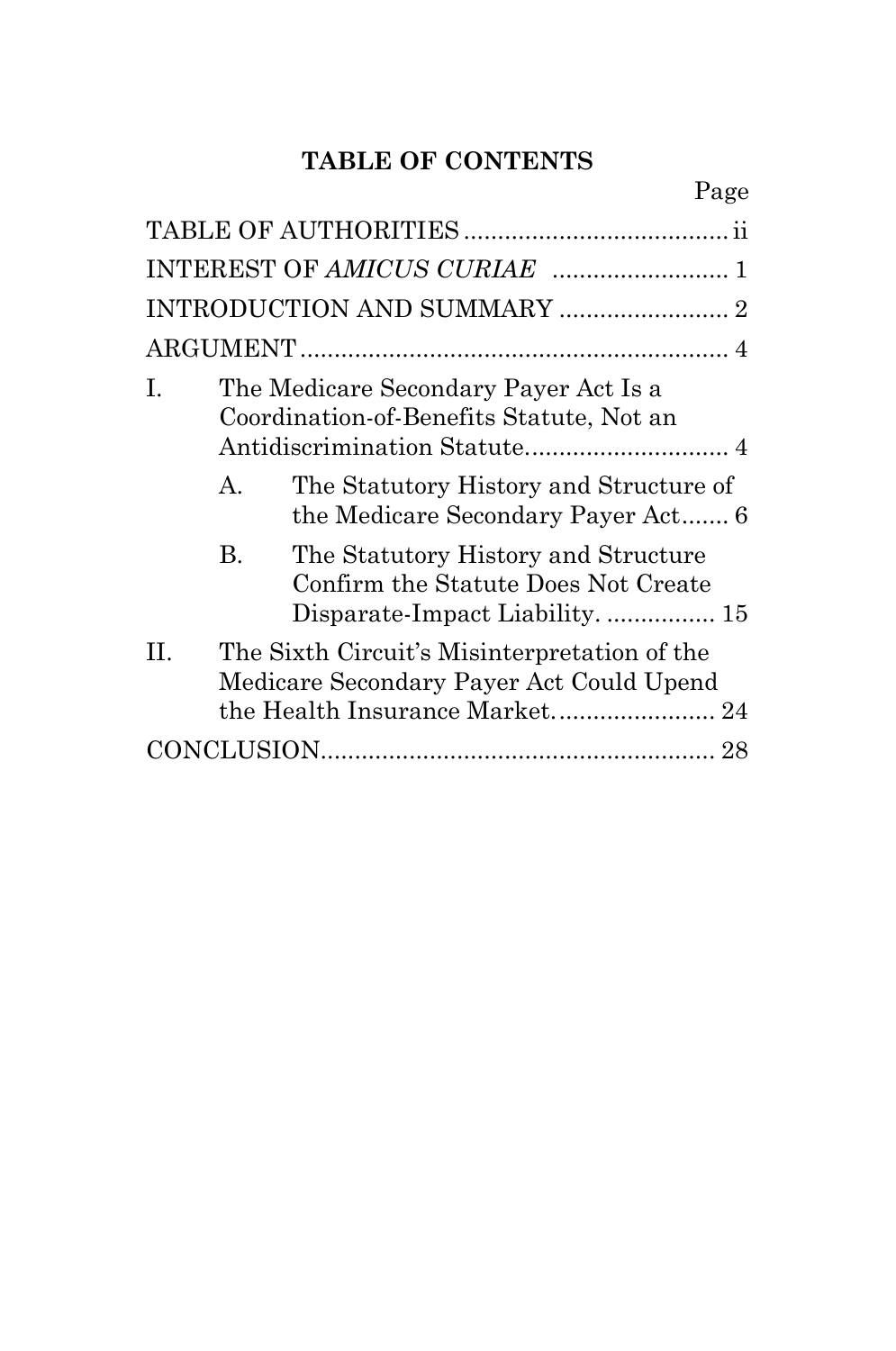# **TABLE OF CONTENTS**

Page

| I.  | The Medicare Secondary Payer Act Is a<br>Coordination-of-Benefits Statute, Not an |                                                                                                                            |  |
|-----|-----------------------------------------------------------------------------------|----------------------------------------------------------------------------------------------------------------------------|--|
|     | А.                                                                                | The Statutory History and Structure of<br>the Medicare Secondary Payer Act 6                                               |  |
|     | В.                                                                                | The Statutory History and Structure<br>Confirm the Statute Does Not Create<br>Disparate-Impact Liability 15                |  |
| II. |                                                                                   | The Sixth Circuit's Misinterpretation of the<br>Medicare Secondary Payer Act Could Upend<br>the Health Insurance Market 24 |  |
|     |                                                                                   |                                                                                                                            |  |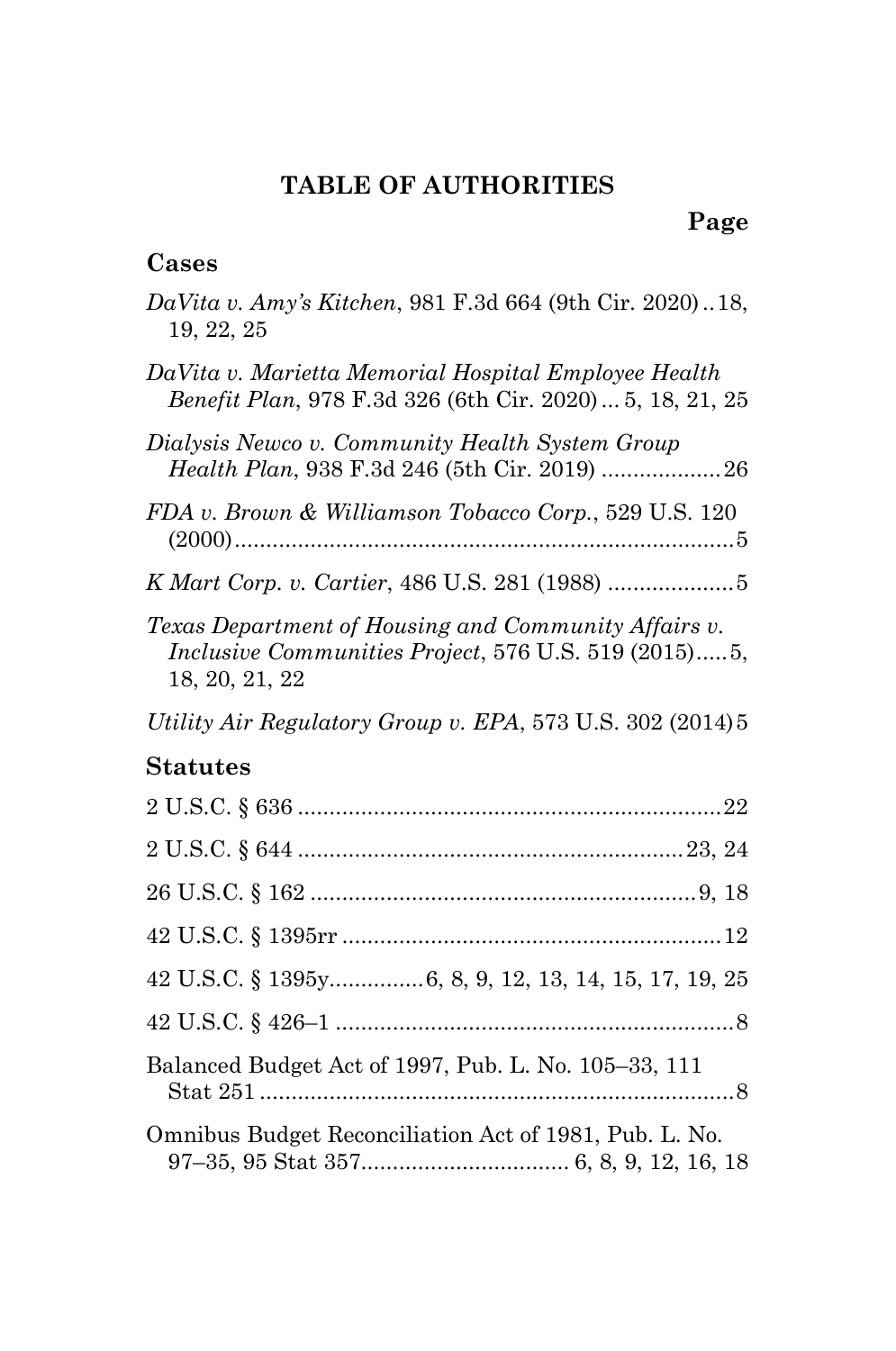## **TABLE OF AUTHORITIES**

## **Page**

## <span id="page-2-0"></span>**Cases**

| DaVita v. Amy's Kitchen, 981 F.3d 664 (9th Cir. 2020)18,<br>19, 22, 25                                                         |
|--------------------------------------------------------------------------------------------------------------------------------|
| DaVita v. Marietta Memorial Hospital Employee Health<br>Benefit Plan, 978 F.3d 326 (6th Cir. 2020)  5, 18, 21, 25              |
| Dialysis Newco v. Community Health System Group<br>Health Plan, 938 F.3d 246 (5th Cir. 2019)  26                               |
| FDA v. Brown & Williamson Tobacco Corp., 529 U.S. 120                                                                          |
|                                                                                                                                |
| Texas Department of Housing and Community Affairs v.<br>Inclusive Communities Project, 576 U.S. 519 (2015)5,<br>18, 20, 21, 22 |
| Utility Air Regulatory Group v. EPA, 573 U.S. 302 (2014) 5                                                                     |
| <b>Statutes</b>                                                                                                                |
|                                                                                                                                |
|                                                                                                                                |
|                                                                                                                                |
|                                                                                                                                |
| 42 U.S.C. § 1395y6, 8, 9, 12, 13, 14, 15, 17, 19, 25                                                                           |
|                                                                                                                                |
| Balanced Budget Act of 1997, Pub. L. No. 105-33, 111                                                                           |
| Omnibus Budget Reconciliation Act of 1981, Pub. L. No.                                                                         |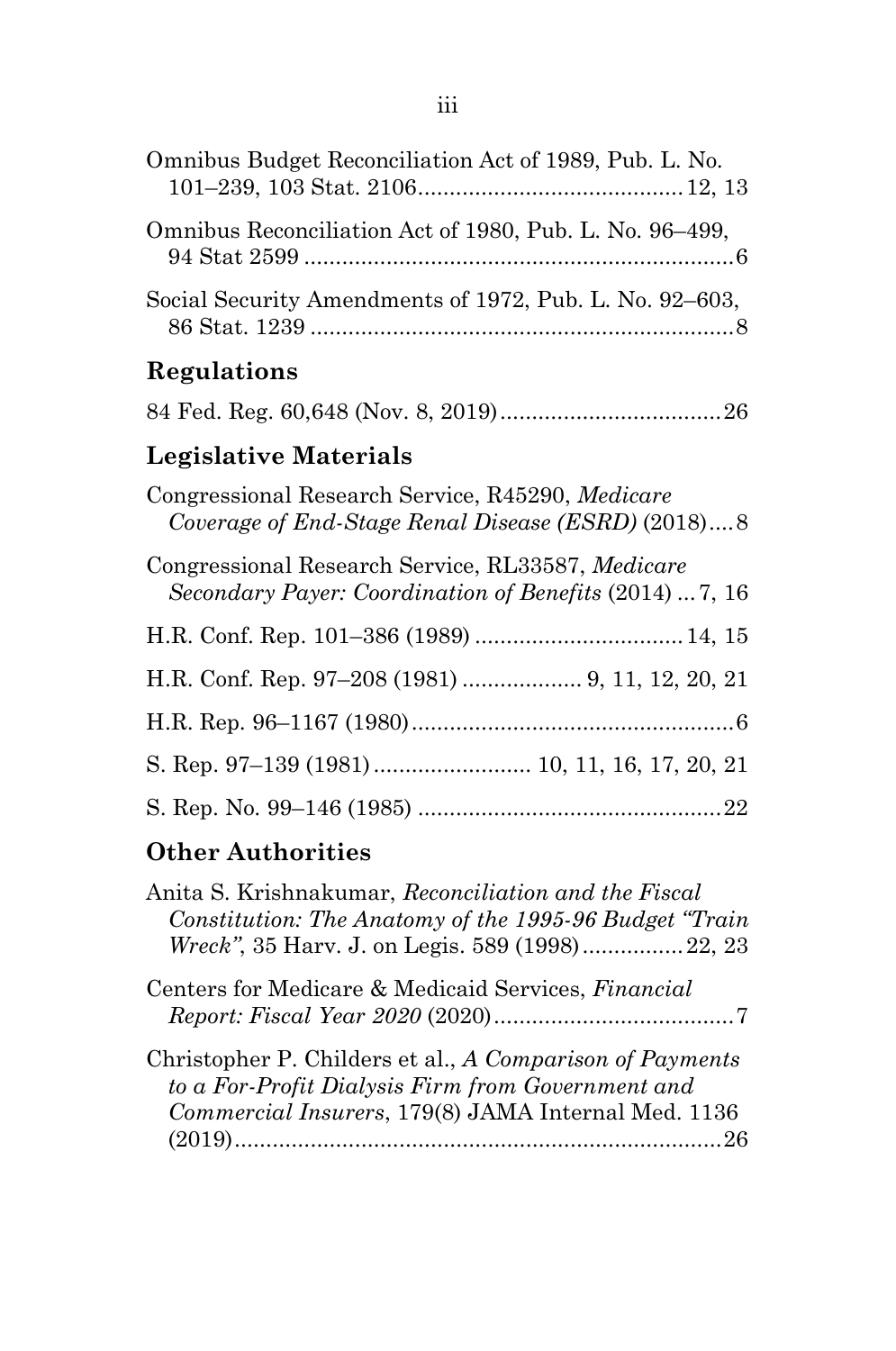| Omnibus Budget Reconciliation Act of 1989, Pub. L. No.                                                       |
|--------------------------------------------------------------------------------------------------------------|
| Omnibus Reconciliation Act of 1980, Pub. L. No. 96–499,                                                      |
| Social Security Amendments of 1972, Pub. L. No. 92–603,                                                      |
| Regulations                                                                                                  |
|                                                                                                              |
| Legislative Materials                                                                                        |
| Congressional Research Service, R45290, Medicare<br>Coverage of End-Stage Renal Disease (ESRD) (2018)8       |
| Congressional Research Service, RL33587, Medicare<br>Secondary Payer: Coordination of Benefits (2014)  7, 16 |
|                                                                                                              |
|                                                                                                              |
|                                                                                                              |
|                                                                                                              |
|                                                                                                              |

## **Other Authorities**

| Anita S. Krishnakumar, Reconciliation and the Fiscal<br>Constitution: The Anatomy of the 1995-96 Budget "Train"<br>Wreck", 35 Harv. J. on Legis. 589 (1998) 22, 23   |
|----------------------------------------------------------------------------------------------------------------------------------------------------------------------|
| Centers for Medicare & Medicaid Services, Financial                                                                                                                  |
| Christopher P. Childers et al., A Comparison of Payments<br>to a For-Profit Dialysis Firm from Government and<br>Commercial Insurers, 179(8) JAMA Internal Med. 1136 |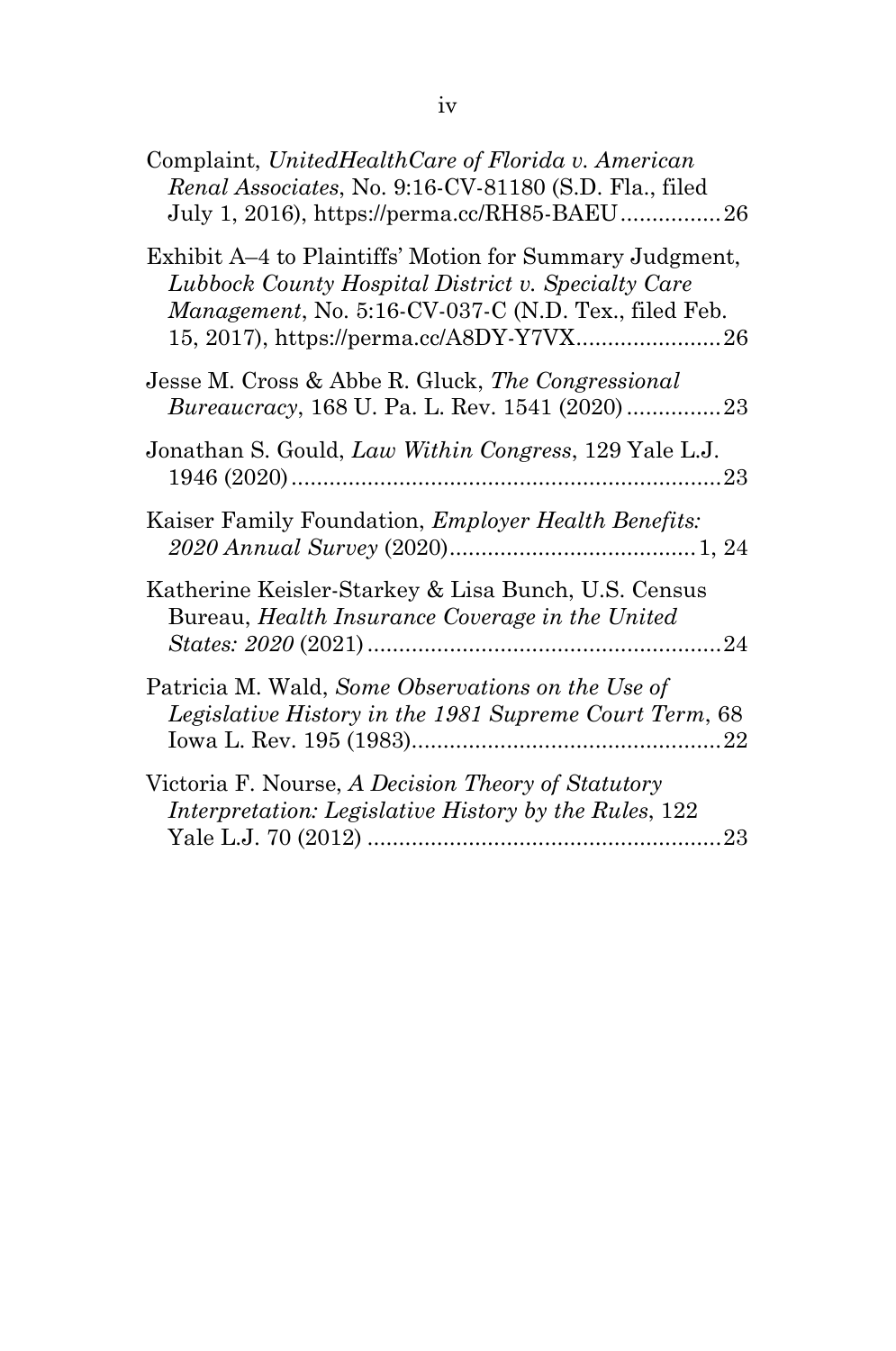| Complaint, UnitedHealthCare of Florida v. American<br>Renal Associates, No. 9:16-CV-81180 (S.D. Fla., filed<br>July 1, 2016), https://perma.cc/RH85-BAEU26                                                        |  |
|-------------------------------------------------------------------------------------------------------------------------------------------------------------------------------------------------------------------|--|
| Exhibit A–4 to Plaintiffs' Motion for Summary Judgment,<br>Lubbock County Hospital District v. Specialty Care<br>Management, No. 5:16-CV-037-C (N.D. Tex., filed Feb.<br>15, 2017), https://perma.cc/A8DY-Y7VX 26 |  |
| Jesse M. Cross & Abbe R. Gluck, The Congressional<br><i>Bureaucracy</i> , 168 U. Pa. L. Rev. 1541 (2020)23                                                                                                        |  |
| Jonathan S. Gould, Law Within Congress, 129 Yale L.J.                                                                                                                                                             |  |
| Kaiser Family Foundation, <i>Employer Health Benefits</i> :                                                                                                                                                       |  |
| Katherine Keisler-Starkey & Lisa Bunch, U.S. Census<br>Bureau, Health Insurance Coverage in the United                                                                                                            |  |
| Patricia M. Wald, Some Observations on the Use of<br>Legislative History in the 1981 Supreme Court Term, 68                                                                                                       |  |
| Victoria F. Nourse, A Decision Theory of Statutory<br>Interpretation: Legislative History by the Rules, 122                                                                                                       |  |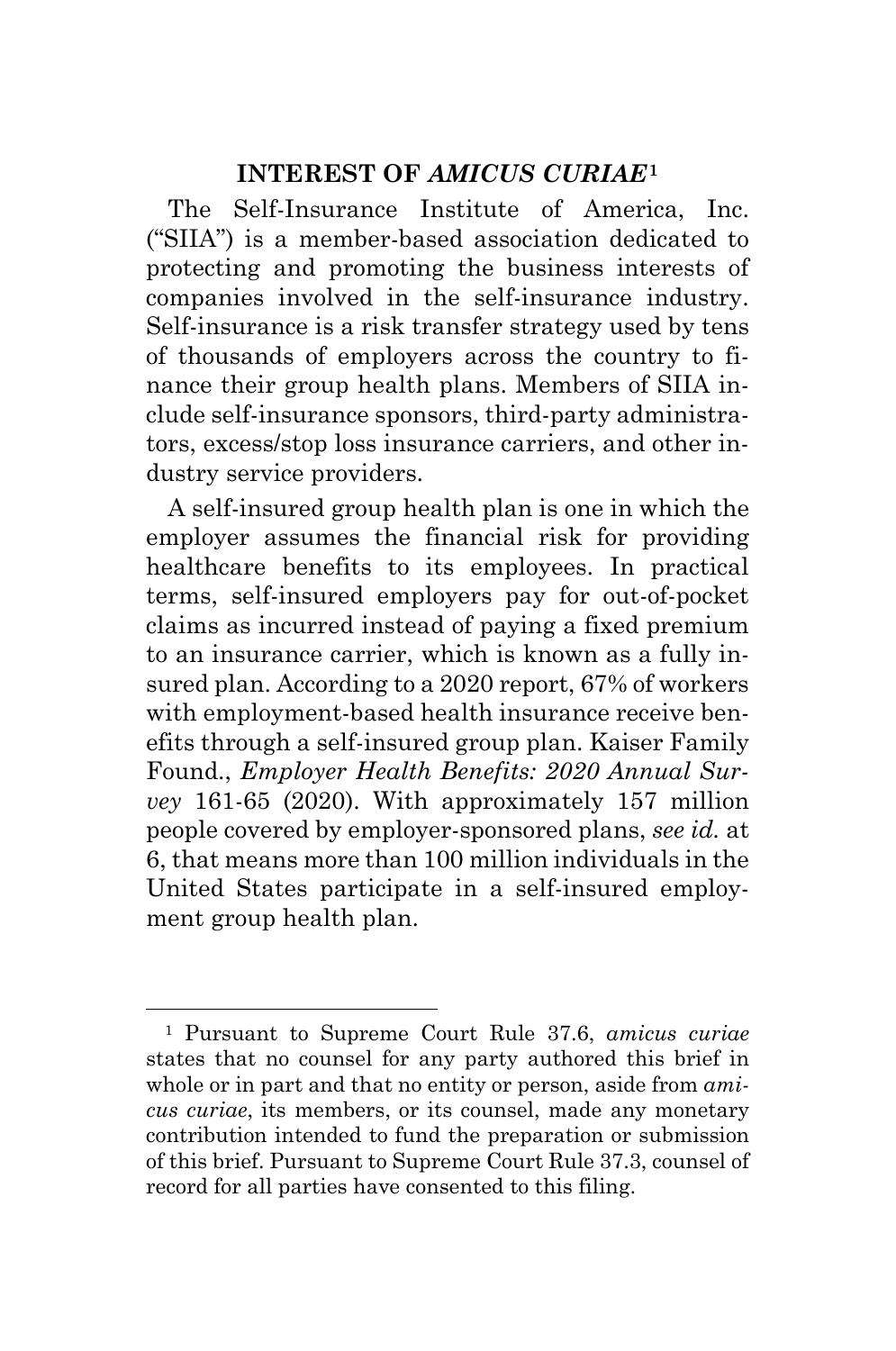### **INTEREST OF** *AMICUS CURIAE***[1](#page-5-1)**

<span id="page-5-0"></span>The Self-Insurance Institute of America, Inc. ("SIIA") is a member-based association dedicated to protecting and promoting the business interests of companies involved in the self-insurance industry. Self-insurance is a risk transfer strategy used by tens of thousands of employers across the country to finance their group health plans. Members of SIIA include self-insurance sponsors, third-party administrators, excess/stop loss insurance carriers, and other industry service providers.

A self-insured group health plan is one in which the employer assumes the financial risk for providing healthcare benefits to its employees. In practical terms, self-insured employers pay for out-of-pocket claims as incurred instead of paying a fixed premium to an insurance carrier, which is known as a fully insured plan. According to a 2020 report, 67% of workers with employment-based health insurance receive benefits through a self-insured group plan. Kaiser Family Found., *Employer Health Benefits: 2020 Annual Survey* 161-65 (2020). With approximately 157 million people covered by employer-sponsored plans, *see id.* at 6, that means more than 100 million individuals in the United States participate in a self-insured employment group health plan.

<span id="page-5-1"></span><sup>1</sup> Pursuant to Supreme Court Rule 37.6, *amicus curiae* states that no counsel for any party authored this brief in whole or in part and that no entity or person, aside from *amicus curiae*, its members, or its counsel, made any monetary contribution intended to fund the preparation or submission of this brief. Pursuant to Supreme Court Rule 37.3, counsel of record for all parties have consented to this filing.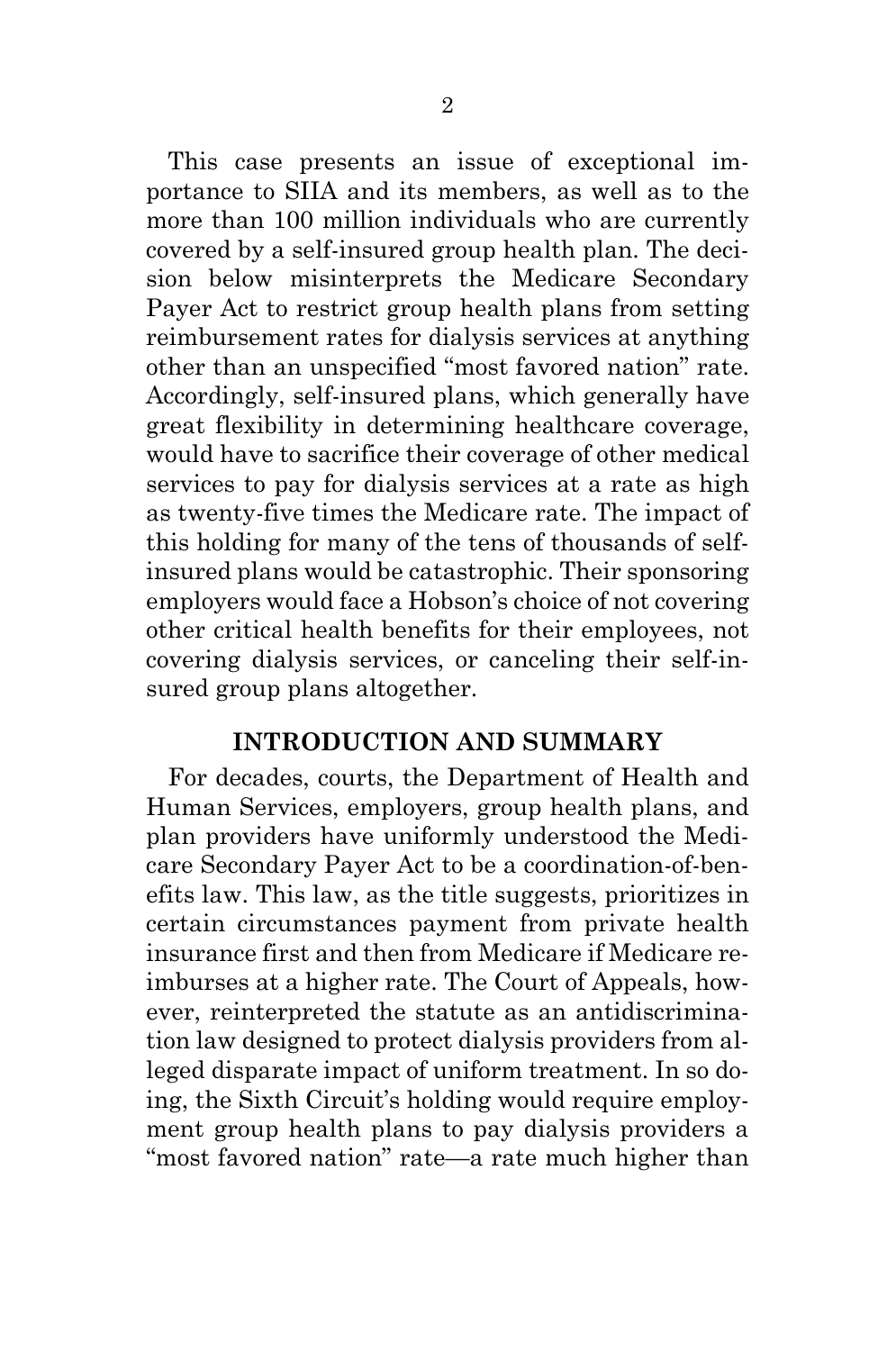This case presents an issue of exceptional importance to SIIA and its members, as well as to the more than 100 million individuals who are currently covered by a self-insured group health plan. The decision below misinterprets the Medicare Secondary Payer Act to restrict group health plans from setting reimbursement rates for dialysis services at anything other than an unspecified "most favored nation" rate. Accordingly, self-insured plans, which generally have great flexibility in determining healthcare coverage, would have to sacrifice their coverage of other medical services to pay for dialysis services at a rate as high as twenty-five times the Medicare rate. The impact of this holding for many of the tens of thousands of selfinsured plans would be catastrophic. Their sponsoring employers would face a Hobson's choice of not covering other critical health benefits for their employees, not covering dialysis services, or canceling their self-insured group plans altogether.

#### **INTRODUCTION AND SUMMARY**

<span id="page-6-0"></span>For decades, courts, the Department of Health and Human Services, employers, group health plans, and plan providers have uniformly understood the Medicare Secondary Payer Act to be a coordination-of-benefits law. This law, as the title suggests, prioritizes in certain circumstances payment from private health insurance first and then from Medicare if Medicare reimburses at a higher rate. The Court of Appeals, however, reinterpreted the statute as an antidiscrimination law designed to protect dialysis providers from alleged disparate impact of uniform treatment. In so doing, the Sixth Circuit's holding would require employment group health plans to pay dialysis providers a "most favored nation" rate—a rate much higher than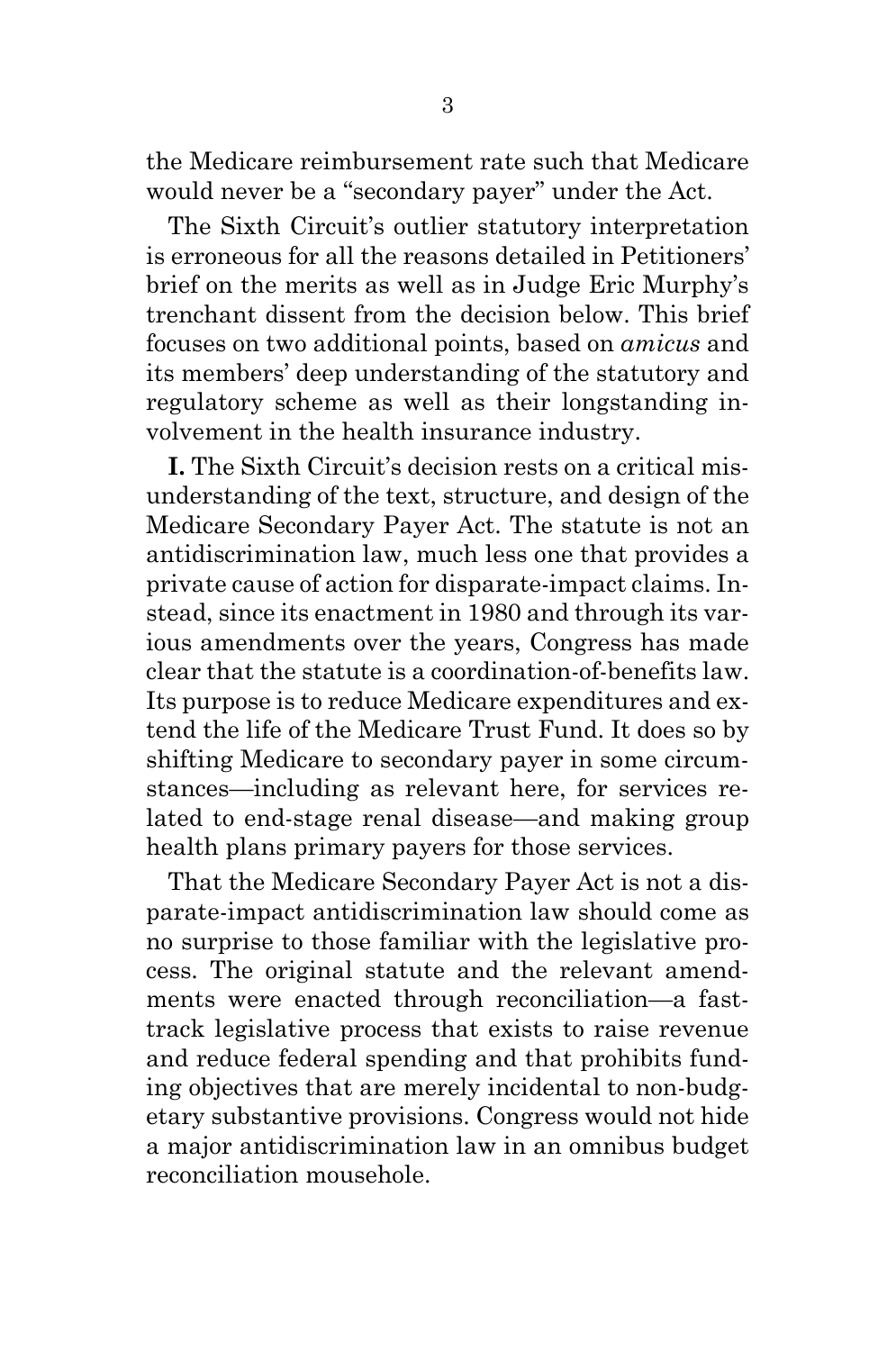the Medicare reimbursement rate such that Medicare would never be a "secondary payer" under the Act.

The Sixth Circuit's outlier statutory interpretation is erroneous for all the reasons detailed in Petitioners' brief on the merits as well as in Judge Eric Murphy's trenchant dissent from the decision below. This brief focuses on two additional points, based on *amicus* and its members' deep understanding of the statutory and regulatory scheme as well as their longstanding involvement in the health insurance industry.

**I.** The Sixth Circuit's decision rests on a critical misunderstanding of the text, structure, and design of the Medicare Secondary Payer Act. The statute is not an antidiscrimination law, much less one that provides a private cause of action for disparate-impact claims. Instead, since its enactment in 1980 and through its various amendments over the years, Congress has made clear that the statute is a coordination-of-benefits law. Its purpose is to reduce Medicare expenditures and extend the life of the Medicare Trust Fund. It does so by shifting Medicare to secondary payer in some circumstances—including as relevant here, for services related to end-stage renal disease—and making group health plans primary payers for those services.

That the Medicare Secondary Payer Act is not a disparate-impact antidiscrimination law should come as no surprise to those familiar with the legislative process. The original statute and the relevant amendments were enacted through reconciliation—a fasttrack legislative process that exists to raise revenue and reduce federal spending and that prohibits funding objectives that are merely incidental to non-budgetary substantive provisions. Congress would not hide a major antidiscrimination law in an omnibus budget reconciliation mousehole.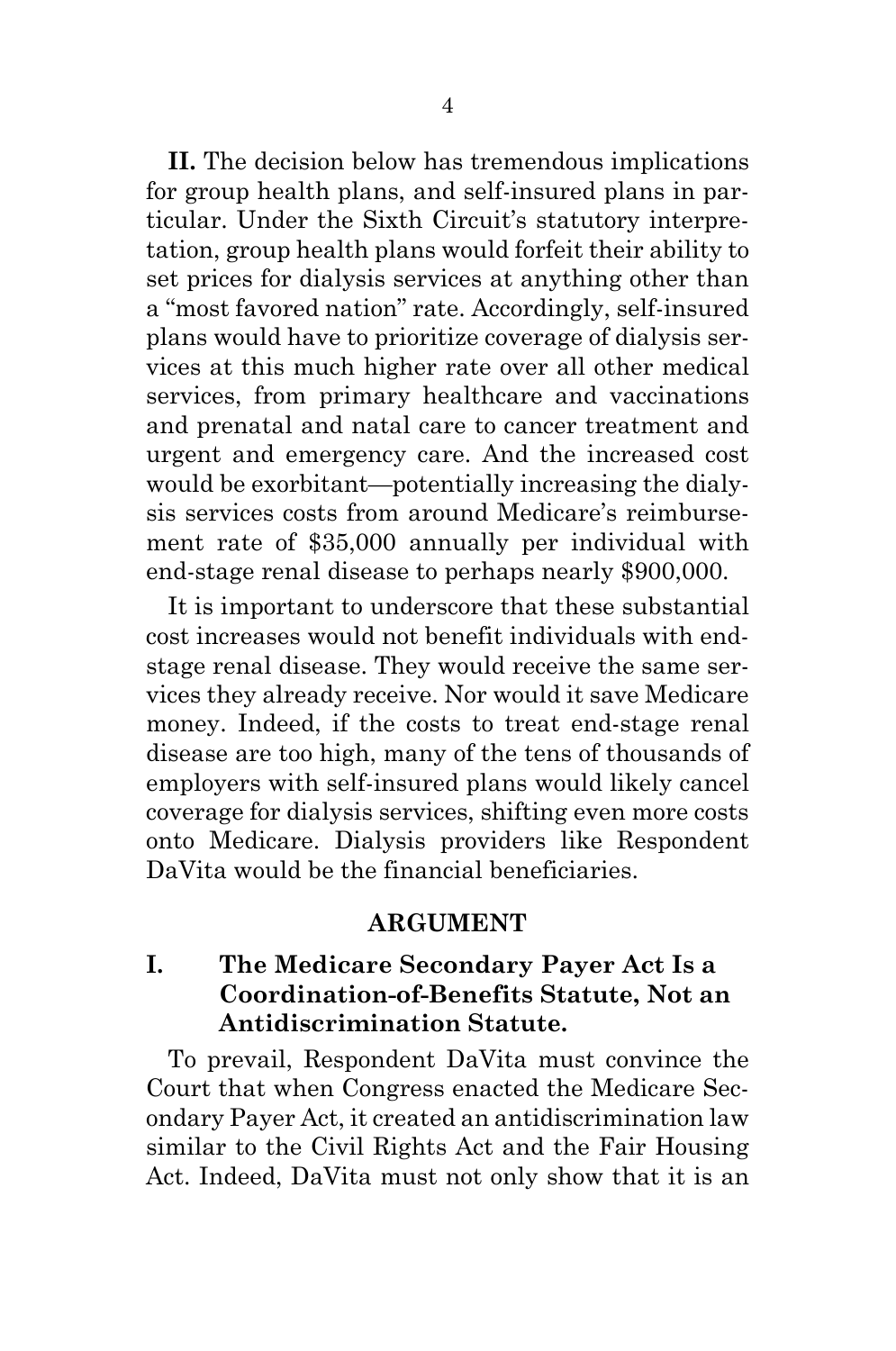**II.** The decision below has tremendous implications for group health plans, and self-insured plans in particular. Under the Sixth Circuit's statutory interpretation, group health plans would forfeit their ability to set prices for dialysis services at anything other than a "most favored nation" rate. Accordingly, self-insured plans would have to prioritize coverage of dialysis services at this much higher rate over all other medical services, from primary healthcare and vaccinations and prenatal and natal care to cancer treatment and urgent and emergency care. And the increased cost would be exorbitant—potentially increasing the dialysis services costs from around Medicare's reimbursement rate of \$35,000 annually per individual with end-stage renal disease to perhaps nearly \$900,000.

It is important to underscore that these substantial cost increases would not benefit individuals with endstage renal disease. They would receive the same services they already receive. Nor would it save Medicare money. Indeed, if the costs to treat end-stage renal disease are too high, many of the tens of thousands of employers with self-insured plans would likely cancel coverage for dialysis services, shifting even more costs onto Medicare. Dialysis providers like Respondent DaVita would be the financial beneficiaries.

#### **ARGUMENT**

## <span id="page-8-1"></span><span id="page-8-0"></span>**I. The Medicare Secondary Payer Act Is a Coordination-of-Benefits Statute, Not an Antidiscrimination Statute.**

To prevail, Respondent DaVita must convince the Court that when Congress enacted the Medicare Secondary Payer Act, it created an antidiscrimination law similar to the Civil Rights Act and the Fair Housing Act. Indeed, DaVita must not only show that it is an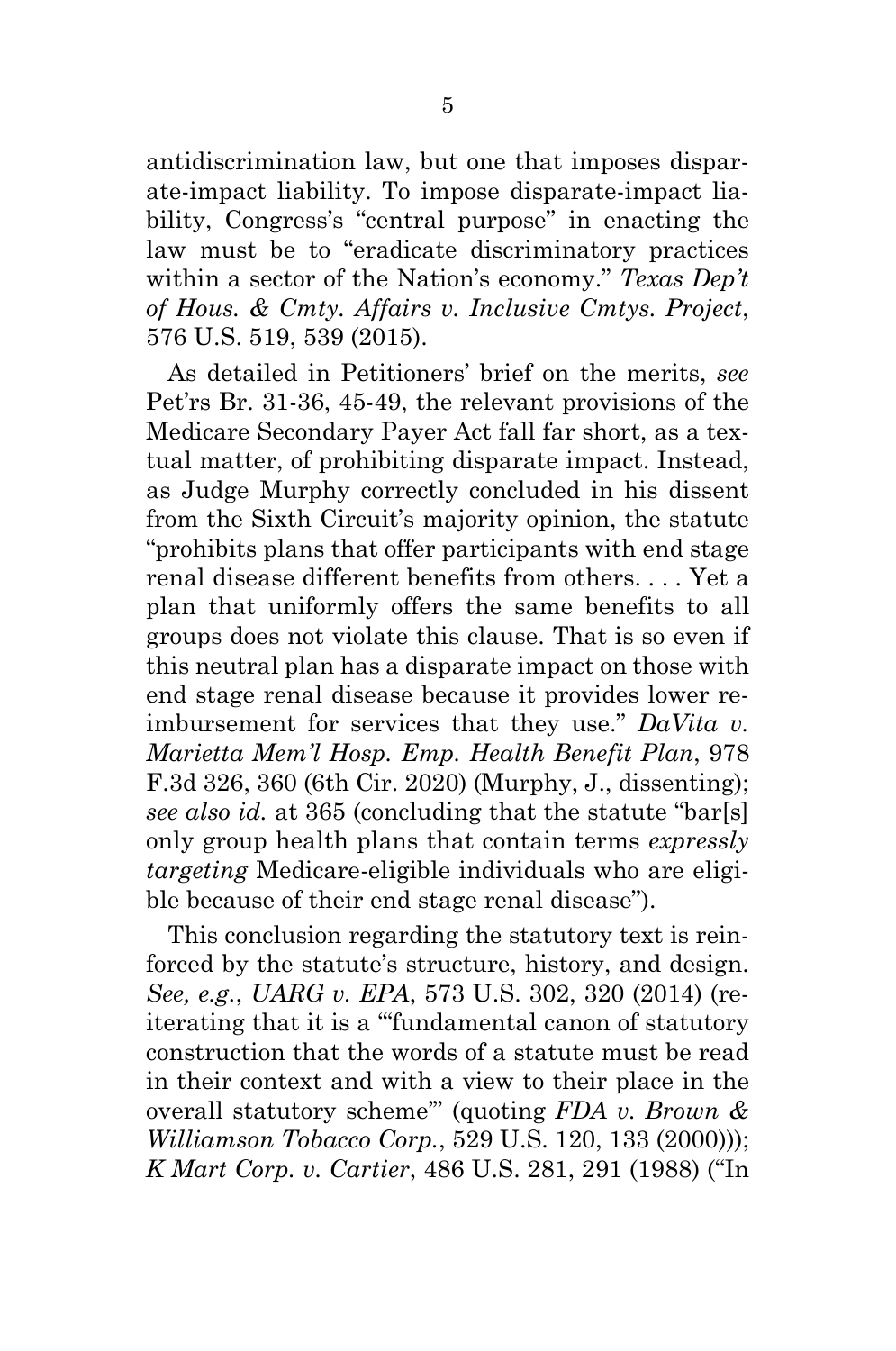antidiscrimination law, but one that imposes disparate-impact liability. To impose disparate-impact liability, Congress's "central purpose" in enacting the law must be to "eradicate discriminatory practices within a sector of the Nation's economy." *Texas Dep't of Hous. & Cmty. Affairs v. Inclusive Cmtys. Project*, 576 U.S. 519, 539 (2015).

As detailed in Petitioners' brief on the merits, *see*  Pet'rs Br. 31-36, 45-49, the relevant provisions of the Medicare Secondary Payer Act fall far short, as a textual matter, of prohibiting disparate impact. Instead, as Judge Murphy correctly concluded in his dissent from the Sixth Circuit's majority opinion, the statute "prohibits plans that offer participants with end stage renal disease different benefits from others. . . . Yet a plan that uniformly offers the same benefits to all groups does not violate this clause. That is so even if this neutral plan has a disparate impact on those with end stage renal disease because it provides lower reimbursement for services that they use." *DaVita v. Marietta Mem'l Hosp. Emp. Health Benefit Plan*, 978 F.3d 326, 360 (6th Cir. 2020) (Murphy, J., dissenting); *see also id.* at 365 (concluding that the statute "bar[s] only group health plans that contain terms *expressly targeting* Medicare-eligible individuals who are eligible because of their end stage renal disease").

This conclusion regarding the statutory text is reinforced by the statute's structure, history, and design. *See, e.g.*, *UARG v. EPA*, 573 U.S. 302, 320 (2014) (reiterating that it is a "'fundamental canon of statutory construction that the words of a statute must be read in their context and with a view to their place in the overall statutory scheme'" (quoting *FDA v. Brown & Williamson Tobacco Corp.*, 529 U.S. 120, 133 (2000))); *K Mart Corp. v. Cartier*, 486 U.S. 281, 291 (1988) ("In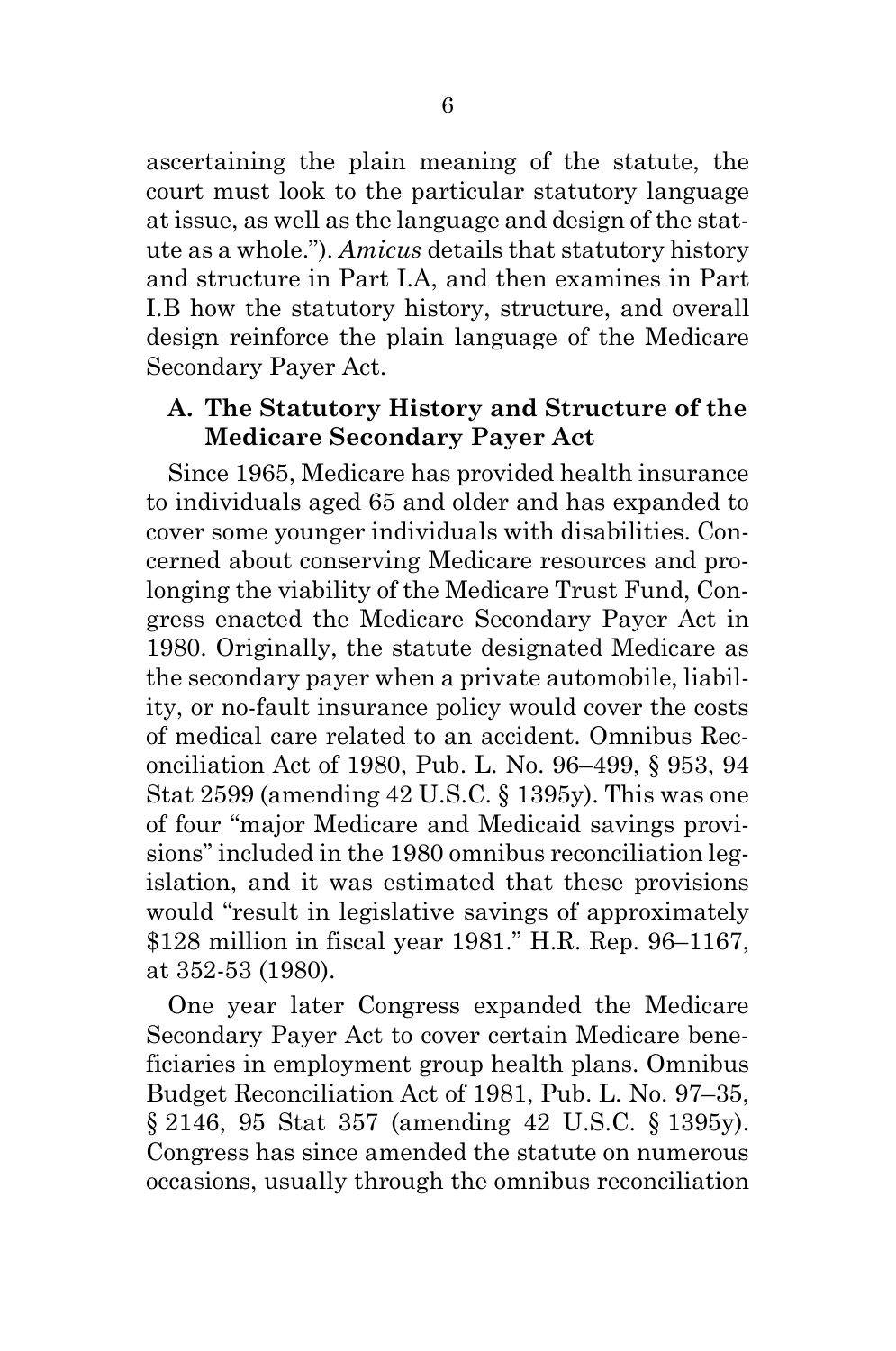ascertaining the plain meaning of the statute, the court must look to the particular statutory language at issue, as well as the language and design of the statute as a whole."). *Amicus* details that statutory history and structure in Part I.A, and then examines in Part I.B how the statutory history, structure, and overall design reinforce the plain language of the Medicare Secondary Payer Act.

### <span id="page-10-0"></span>**A. The Statutory History and Structure of the Medicare Secondary Payer Act**

Since 1965, Medicare has provided health insurance to individuals aged 65 and older and has expanded to cover some younger individuals with disabilities. Concerned about conserving Medicare resources and prolonging the viability of the Medicare Trust Fund, Congress enacted the Medicare Secondary Payer Act in 1980. Originally, the statute designated Medicare as the secondary payer when a private automobile, liability, or no-fault insurance policy would cover the costs of medical care related to an accident. Omnibus Reconciliation Act of 1980, Pub. L. No. 96–499, § 953, 94 Stat 2599 (amending 42 U.S.C. § 1395y). This was one of four "major Medicare and Medicaid savings provisions" included in the 1980 omnibus reconciliation legislation, and it was estimated that these provisions would "result in legislative savings of approximately \$128 million in fiscal year 1981." H.R. Rep. 96–1167, at 352-53 (1980).

One year later Congress expanded the Medicare Secondary Payer Act to cover certain Medicare beneficiaries in employment group health plans. Omnibus Budget Reconciliation Act of 1981, Pub. L. No. 97–35, § 2146, 95 Stat 357 (amending 42 U.S.C. § 1395y). Congress has since amended the statute on numerous occasions, usually through the omnibus reconciliation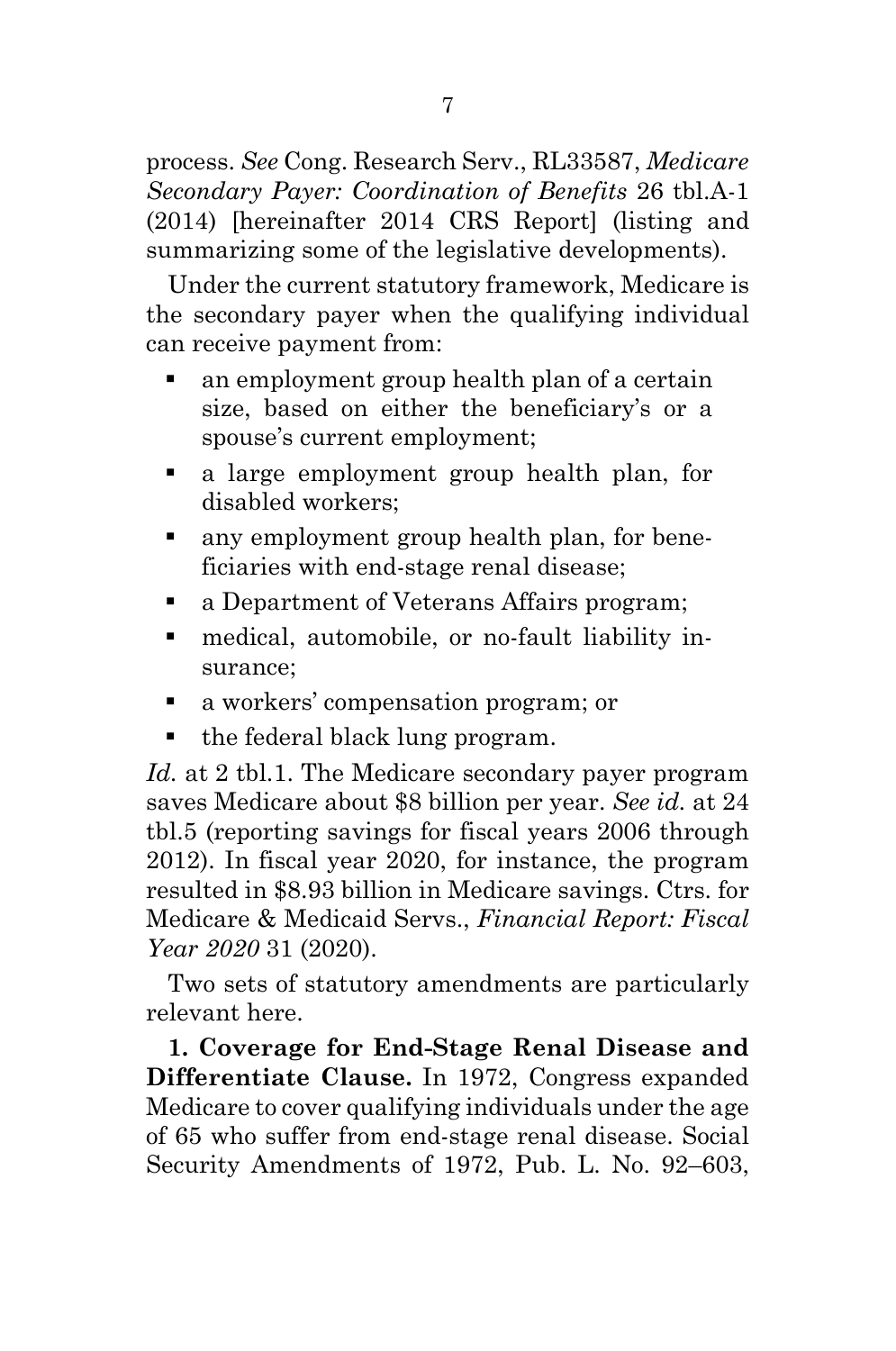process. *See* Cong. Research Serv., RL33587, *Medicare Secondary Payer: Coordination of Benefits* 26 tbl.A-1 (2014) [hereinafter 2014 CRS Report] (listing and summarizing some of the legislative developments).

Under the current statutory framework, Medicare is the secondary payer when the qualifying individual can receive payment from:

- an employment group health plan of a certain size, based on either the beneficiary's or a spouse's current employment;
- a large employment group health plan, for disabled workers;
- any employment group health plan, for beneficiaries with end-stage renal disease;
- a Department of Veterans Affairs program;
- medical, automobile, or no-fault liability insurance;
- a workers' compensation program; or
- the federal black lung program.

*Id.* at 2 tbl.1. The Medicare secondary payer program saves Medicare about \$8 billion per year. *See id.* at 24 tbl.5 (reporting savings for fiscal years 2006 through 2012). In fiscal year 2020, for instance, the program resulted in \$8.93 billion in Medicare savings. Ctrs. for Medicare & Medicaid Servs., *Financial Report: Fiscal Year 2020* 31 (2020).

Two sets of statutory amendments are particularly relevant here.

**1. Coverage for End-Stage Renal Disease and Differentiate Clause.** In 1972, Congress expanded Medicare to cover qualifying individuals under the age of 65 who suffer from end-stage renal disease. Social Security Amendments of 1972, Pub. L. No. 92–603,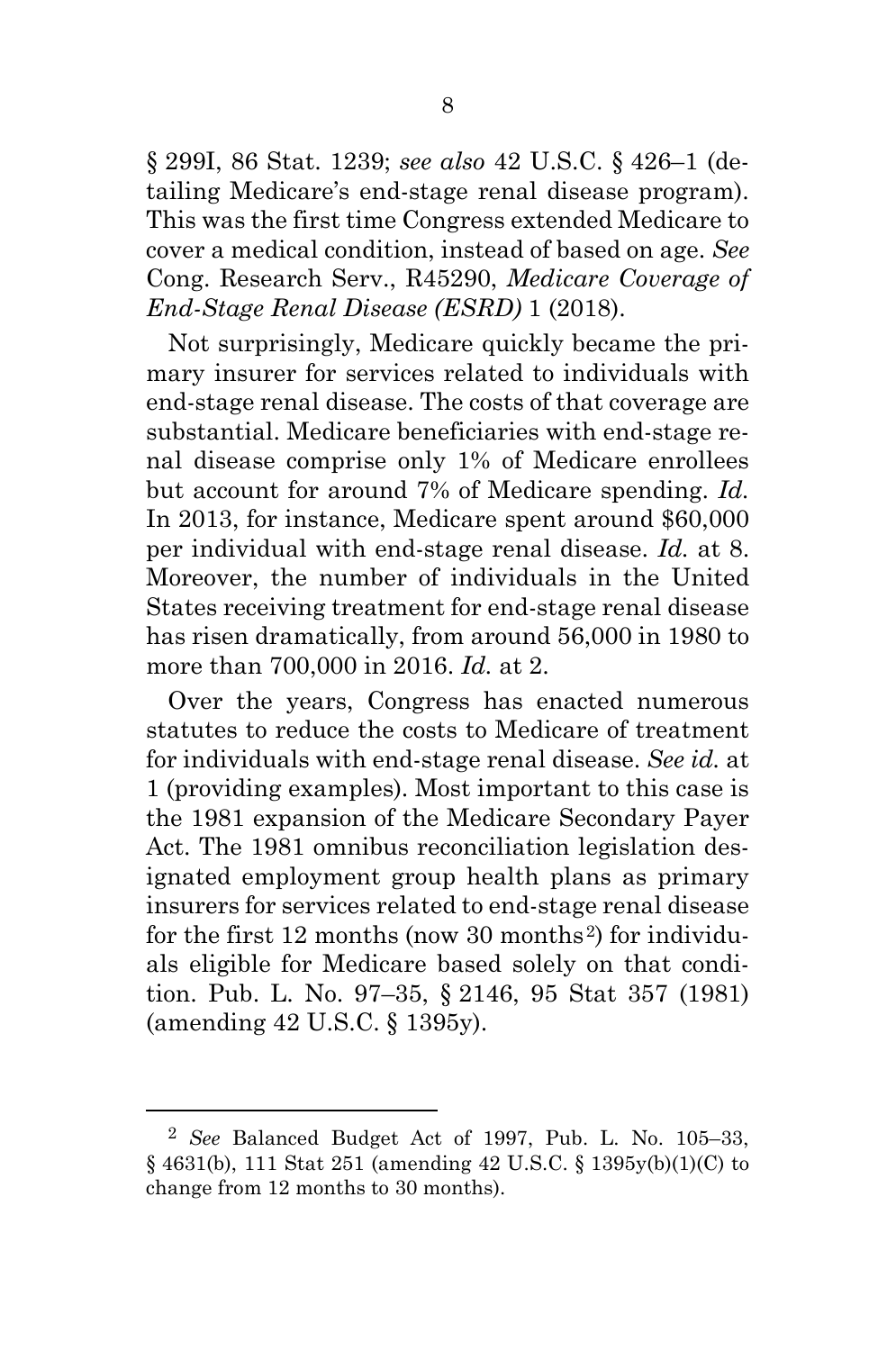§ 299I, 86 Stat. 1239; *see also* 42 U.S.C. § 426–1 (detailing Medicare's end-stage renal disease program). This was the first time Congress extended Medicare to cover a medical condition, instead of based on age. *See* Cong. Research Serv., R45290, *Medicare Coverage of End-Stage Renal Disease (ESRD)* 1 (2018).

Not surprisingly, Medicare quickly became the primary insurer for services related to individuals with end-stage renal disease. The costs of that coverage are substantial. Medicare beneficiaries with end-stage renal disease comprise only 1% of Medicare enrollees but account for around 7% of Medicare spending. *Id.* In 2013, for instance, Medicare spent around \$60,000 per individual with end-stage renal disease. *Id.* at 8. Moreover, the number of individuals in the United States receiving treatment for end-stage renal disease has risen dramatically, from around 56,000 in 1980 to more than 700,000 in 2016. *Id.* at 2.

Over the years, Congress has enacted numerous statutes to reduce the costs to Medicare of treatment for individuals with end-stage renal disease. *See id.* at 1 (providing examples). Most important to this case is the 1981 expansion of the Medicare Secondary Payer Act. The 1981 omnibus reconciliation legislation designated employment group health plans as primary insurers for services related to end-stage renal disease for the first 1[2](#page-12-0) months (now 30 months<sup>2</sup>) for individuals eligible for Medicare based solely on that condition. Pub. L. No. 97–35, § 2146, 95 Stat 357 (1981) (amending 42 U.S.C. § 1395y).

<span id="page-12-0"></span><sup>2</sup> *See* Balanced Budget Act of 1997, Pub. L. No. 105–33, § 4631(b), 111 Stat 251 (amending 42 U.S.C. § 1395y(b)(1)(C) to change from 12 months to 30 months).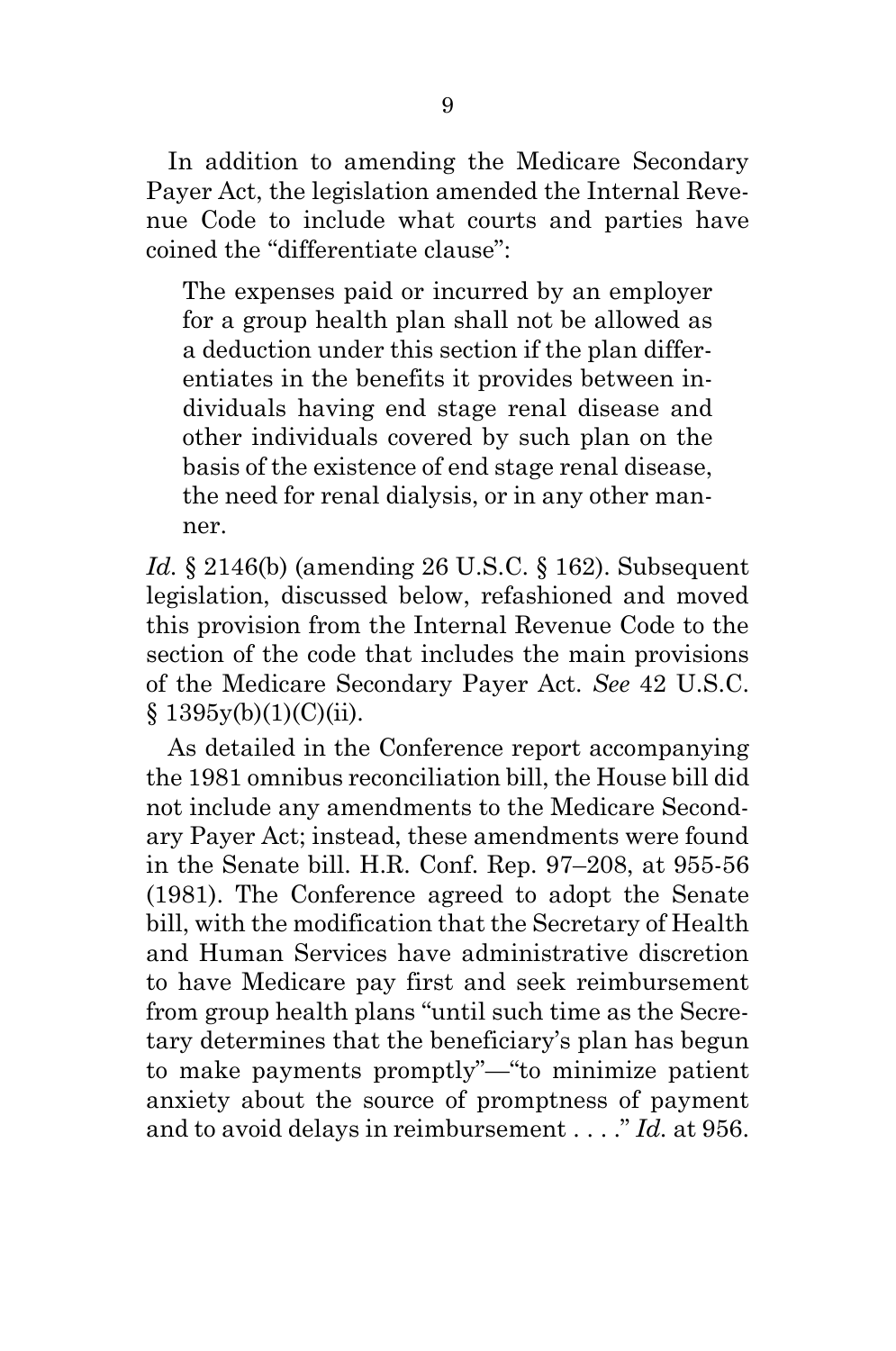In addition to amending the Medicare Secondary Payer Act, the legislation amended the Internal Revenue Code to include what courts and parties have coined the "differentiate clause":

The expenses paid or incurred by an employer for a group health plan shall not be allowed as a deduction under this section if the plan differentiates in the benefits it provides between individuals having end stage renal disease and other individuals covered by such plan on the basis of the existence of end stage renal disease, the need for renal dialysis, or in any other manner.

*Id.* § 2146(b) (amending 26 U.S.C. § 162). Subsequent legislation, discussed below, refashioned and moved this provision from the Internal Revenue Code to the section of the code that includes the main provisions of the Medicare Secondary Payer Act. *See* 42 U.S.C.  $§ 1395y(b)(1)(C)(ii).$ 

As detailed in the Conference report accompanying the 1981 omnibus reconciliation bill, the House bill did not include any amendments to the Medicare Secondary Payer Act; instead, these amendments were found in the Senate bill. H.R. Conf. Rep. 97–208, at 955-56 (1981). The Conference agreed to adopt the Senate bill, with the modification that the Secretary of Health and Human Services have administrative discretion to have Medicare pay first and seek reimbursement from group health plans "until such time as the Secretary determines that the beneficiary's plan has begun to make payments promptly"—"to minimize patient anxiety about the source of promptness of payment and to avoid delays in reimbursement . . . ." *Id.* at 956.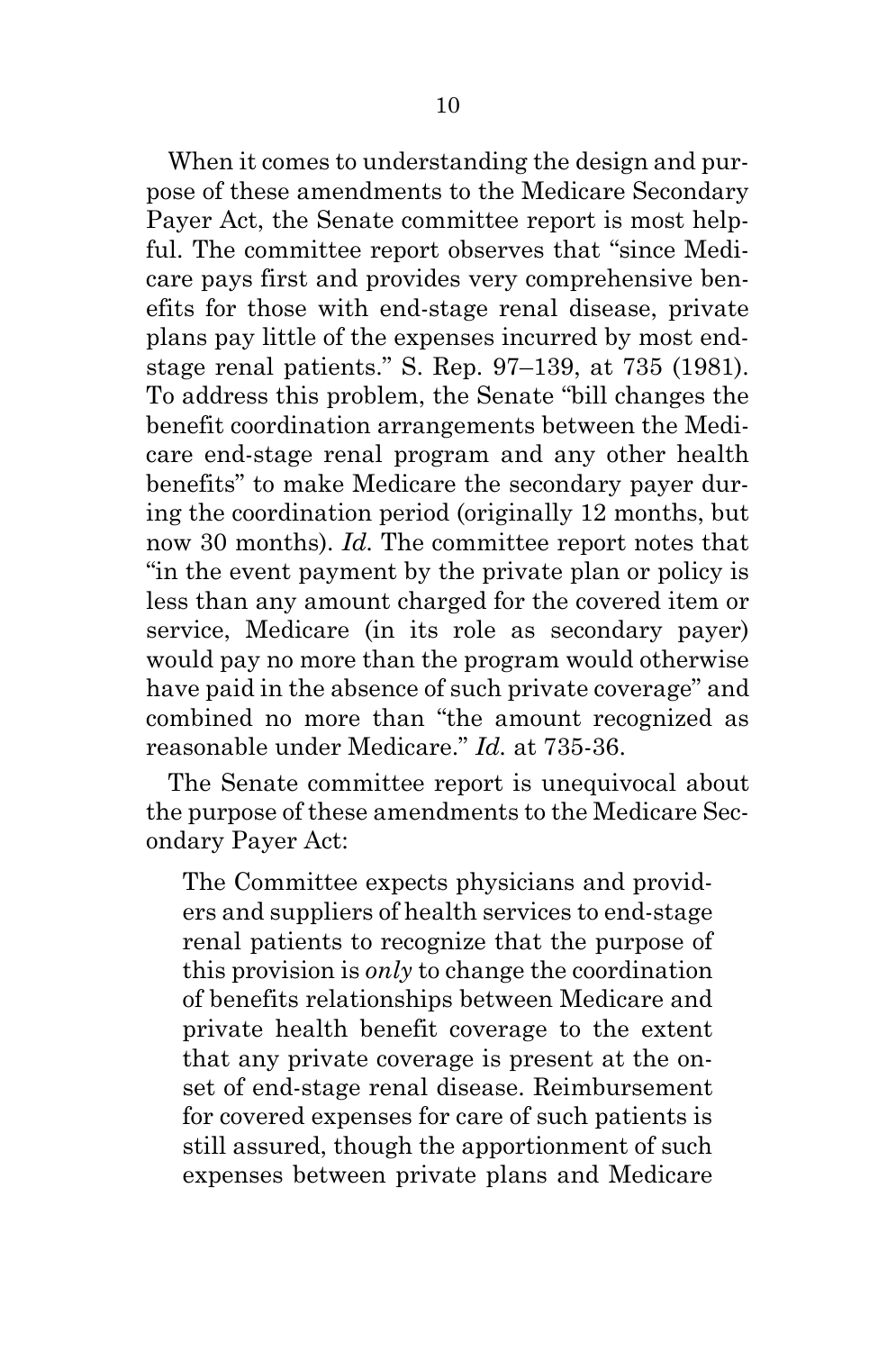When it comes to understanding the design and purpose of these amendments to the Medicare Secondary Payer Act, the Senate committee report is most helpful. The committee report observes that "since Medicare pays first and provides very comprehensive benefits for those with end-stage renal disease, private plans pay little of the expenses incurred by most endstage renal patients." S. Rep. 97–139, at 735 (1981). To address this problem, the Senate "bill changes the benefit coordination arrangements between the Medicare end-stage renal program and any other health benefits" to make Medicare the secondary payer during the coordination period (originally 12 months, but now 30 months). *Id.* The committee report notes that "in the event payment by the private plan or policy is less than any amount charged for the covered item or service, Medicare (in its role as secondary payer) would pay no more than the program would otherwise have paid in the absence of such private coverage" and combined no more than "the amount recognized as reasonable under Medicare." *Id.* at 735-36.

The Senate committee report is unequivocal about the purpose of these amendments to the Medicare Secondary Payer Act:

The Committee expects physicians and providers and suppliers of health services to end-stage renal patients to recognize that the purpose of this provision is *only* to change the coordination of benefits relationships between Medicare and private health benefit coverage to the extent that any private coverage is present at the onset of end-stage renal disease. Reimbursement for covered expenses for care of such patients is still assured, though the apportionment of such expenses between private plans and Medicare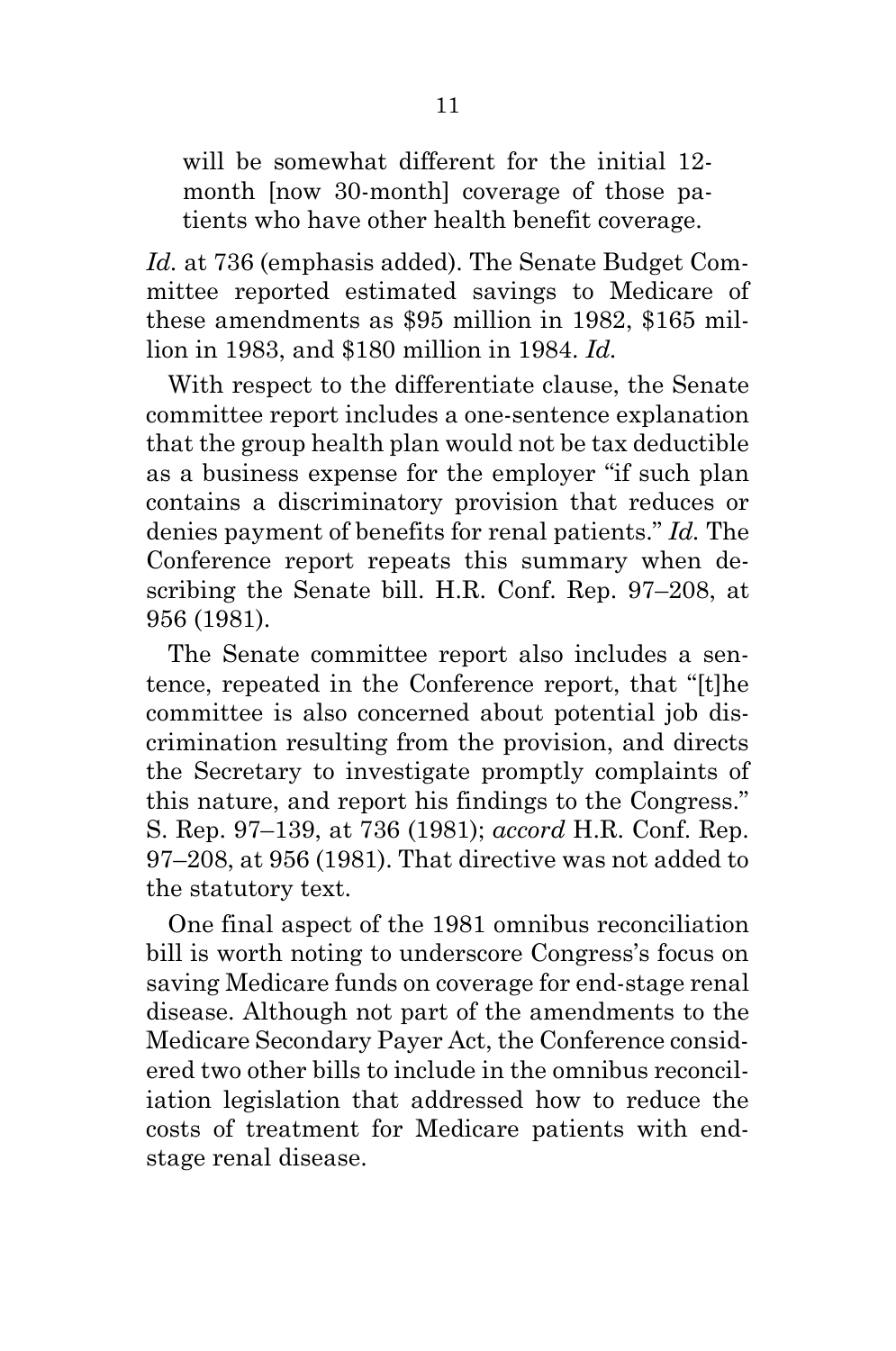will be somewhat different for the initial 12month [now 30-month] coverage of those patients who have other health benefit coverage.

*Id.* at 736 (emphasis added). The Senate Budget Committee reported estimated savings to Medicare of these amendments as \$95 million in 1982, \$165 million in 1983, and \$180 million in 1984. *Id.*

With respect to the differentiate clause, the Senate committee report includes a one-sentence explanation that the group health plan would not be tax deductible as a business expense for the employer "if such plan contains a discriminatory provision that reduces or denies payment of benefits for renal patients." *Id.* The Conference report repeats this summary when describing the Senate bill. H.R. Conf. Rep. 97–208, at 956 (1981).

The Senate committee report also includes a sentence, repeated in the Conference report, that "[t]he committee is also concerned about potential job discrimination resulting from the provision, and directs the Secretary to investigate promptly complaints of this nature, and report his findings to the Congress." S. Rep. 97–139, at 736 (1981); *accord* H.R. Conf. Rep. 97–208, at 956 (1981). That directive was not added to the statutory text.

One final aspect of the 1981 omnibus reconciliation bill is worth noting to underscore Congress's focus on saving Medicare funds on coverage for end-stage renal disease. Although not part of the amendments to the Medicare Secondary Payer Act, the Conference considered two other bills to include in the omnibus reconciliation legislation that addressed how to reduce the costs of treatment for Medicare patients with endstage renal disease.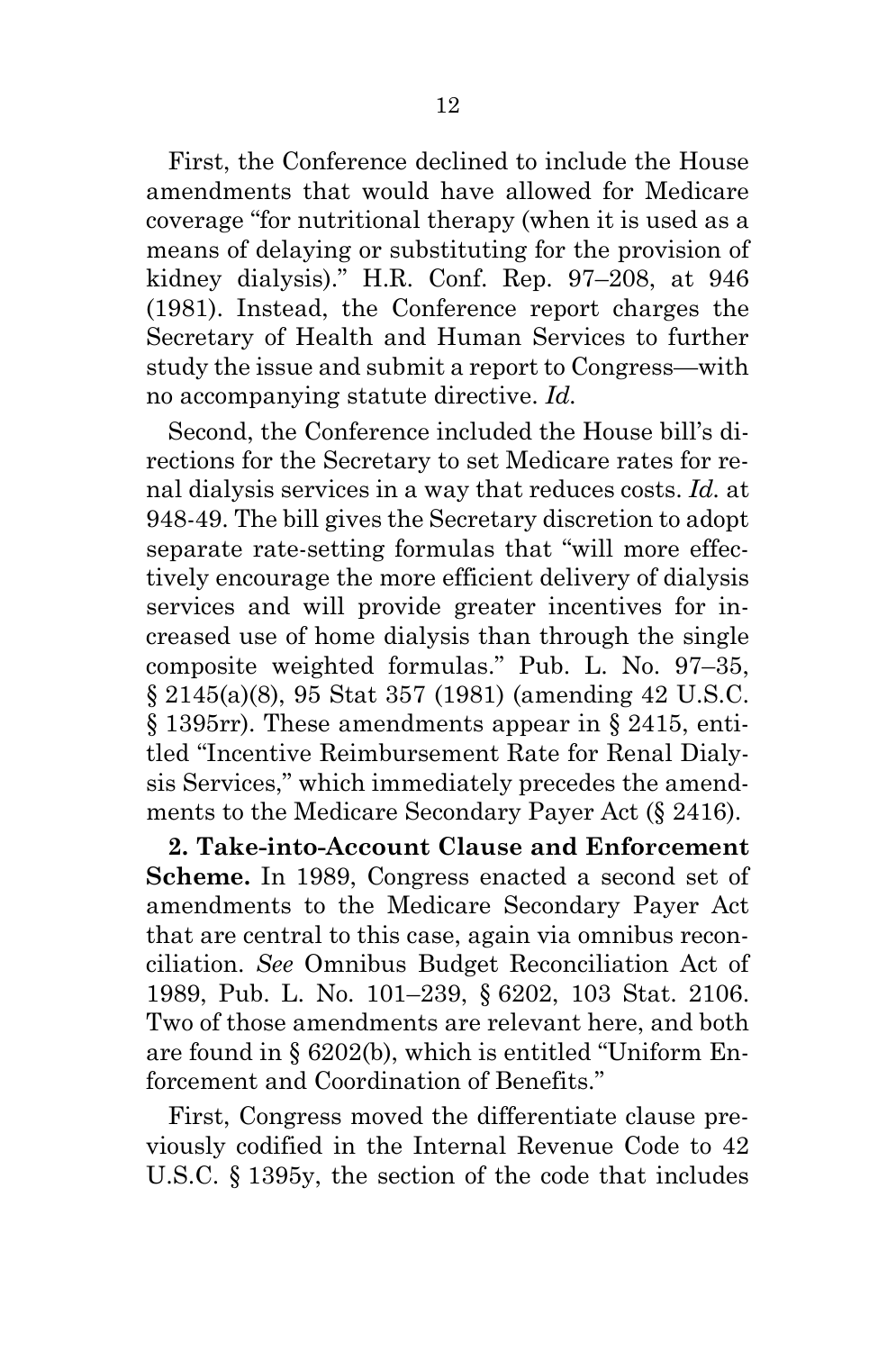First, the Conference declined to include the House amendments that would have allowed for Medicare coverage "for nutritional therapy (when it is used as a means of delaying or substituting for the provision of kidney dialysis)." H.R. Conf. Rep. 97–208, at 946 (1981). Instead, the Conference report charges the Secretary of Health and Human Services to further study the issue and submit a report to Congress—with no accompanying statute directive. *Id.*

Second, the Conference included the House bill's directions for the Secretary to set Medicare rates for renal dialysis services in a way that reduces costs. *Id.* at 948-49. The bill gives the Secretary discretion to adopt separate rate-setting formulas that "will more effectively encourage the more efficient delivery of dialysis services and will provide greater incentives for increased use of home dialysis than through the single composite weighted formulas." Pub. L. No. 97–35, § 2145(a)(8), 95 Stat 357 (1981) (amending 42 U.S.C. § 1395rr). These amendments appear in § 2415, entitled "Incentive Reimbursement Rate for Renal Dialysis Services," which immediately precedes the amendments to the Medicare Secondary Payer Act (§ 2416).

**2. Take-into-Account Clause and Enforcement Scheme.** In 1989, Congress enacted a second set of amendments to the Medicare Secondary Payer Act that are central to this case, again via omnibus reconciliation. *See* Omnibus Budget Reconciliation Act of 1989, Pub. L. No. 101–239, § 6202, 103 Stat. 2106. Two of those amendments are relevant here, and both are found in § 6202(b), which is entitled "Uniform Enforcement and Coordination of Benefits."

First, Congress moved the differentiate clause previously codified in the Internal Revenue Code to 42 U.S.C. § 1395y, the section of the code that includes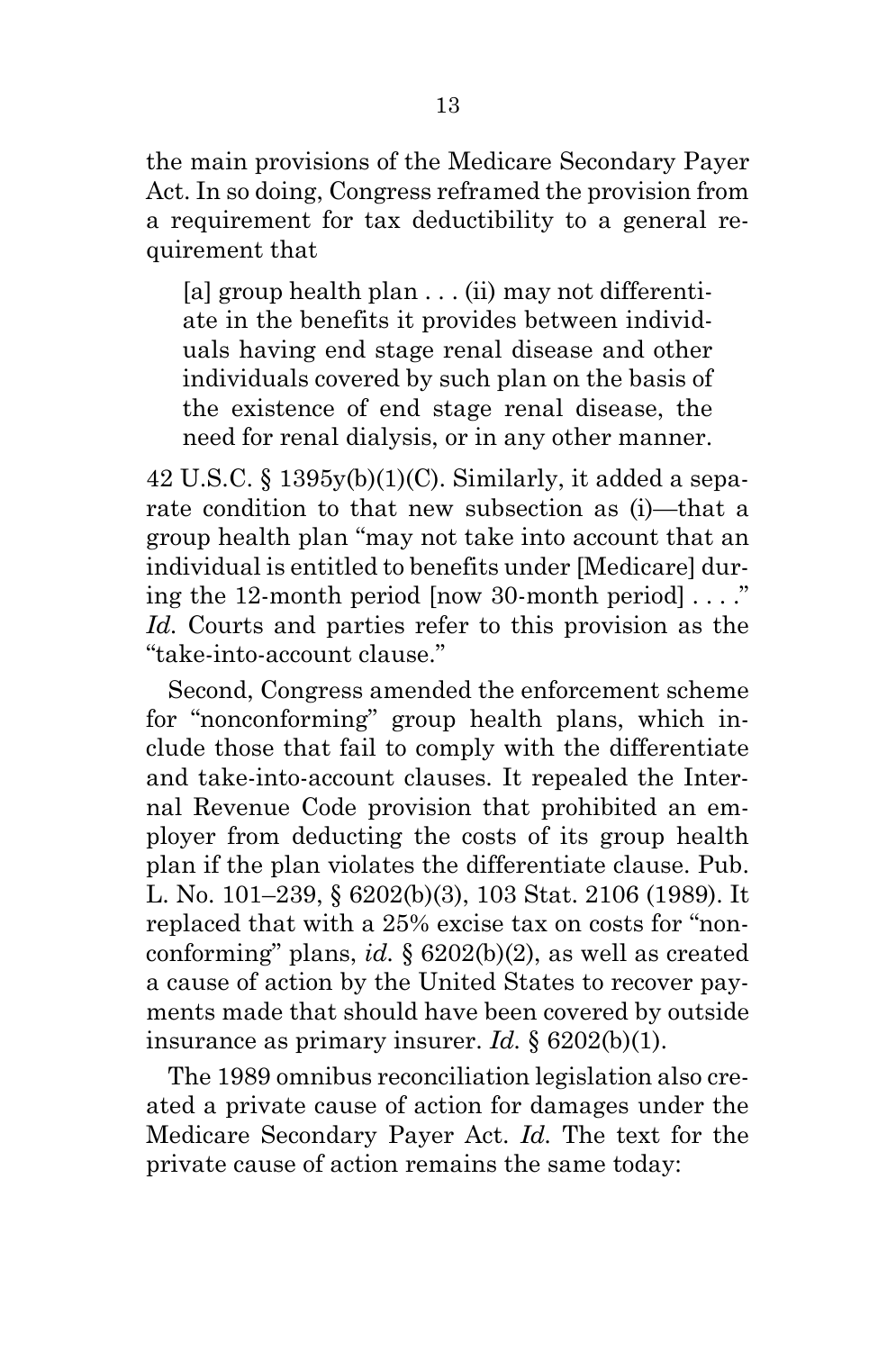the main provisions of the Medicare Secondary Payer Act. In so doing, Congress reframed the provision from a requirement for tax deductibility to a general requirement that

[a] group health plan . . . (ii) may not differentiate in the benefits it provides between individuals having end stage renal disease and other individuals covered by such plan on the basis of the existence of end stage renal disease, the need for renal dialysis, or in any other manner.

 $42$  U.S.C. §  $1395y(b)(1)(C)$ . Similarly, it added a separate condition to that new subsection as (i)—that a group health plan "may not take into account that an individual is entitled to benefits under [Medicare] during the 12-month period  $\lceil now 30 \cdot m$  period  $\lceil \dots \rceil$ *Id.* Courts and parties refer to this provision as the "take-into-account clause."

Second, Congress amended the enforcement scheme for "nonconforming" group health plans, which include those that fail to comply with the differentiate and take-into-account clauses. It repealed the Internal Revenue Code provision that prohibited an employer from deducting the costs of its group health plan if the plan violates the differentiate clause. Pub. L. No. 101–239, § 6202(b)(3), 103 Stat. 2106 (1989). It replaced that with a 25% excise tax on costs for "nonconforming" plans, *id.* § 6202(b)(2), as well as created a cause of action by the United States to recover payments made that should have been covered by outside insurance as primary insurer. *Id.* § 6202(b)(1).

The 1989 omnibus reconciliation legislation also created a private cause of action for damages under the Medicare Secondary Payer Act. *Id.* The text for the private cause of action remains the same today: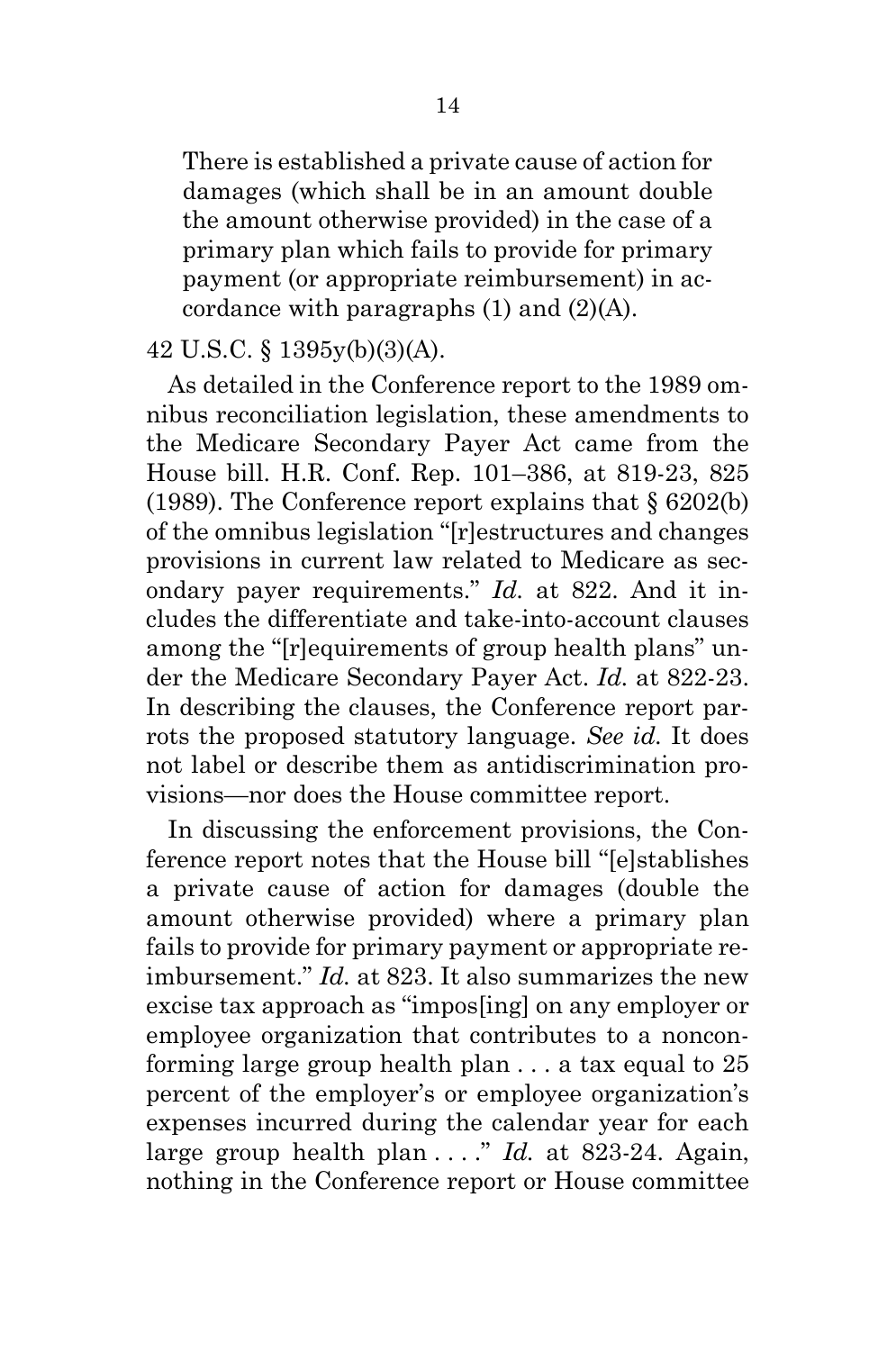There is established a private cause of action for damages (which shall be in an amount double the amount otherwise provided) in the case of a primary plan which fails to provide for primary payment (or appropriate reimbursement) in accordance with paragraphs (1) and (2)(A).

### 42 U.S.C. § 1395y(b)(3)(A).

As detailed in the Conference report to the 1989 omnibus reconciliation legislation, these amendments to the Medicare Secondary Payer Act came from the House bill. H.R. Conf. Rep. 101–386, at 819-23, 825 (1989). The Conference report explains that § 6202(b) of the omnibus legislation "[r]estructures and changes provisions in current law related to Medicare as secondary payer requirements." *Id.* at 822. And it includes the differentiate and take-into-account clauses among the "[r]equirements of group health plans" under the Medicare Secondary Payer Act. *Id.* at 822-23. In describing the clauses, the Conference report parrots the proposed statutory language. *See id.* It does not label or describe them as antidiscrimination provisions—nor does the House committee report.

In discussing the enforcement provisions, the Conference report notes that the House bill "[e]stablishes a private cause of action for damages (double the amount otherwise provided) where a primary plan fails to provide for primary payment or appropriate reimbursement." *Id.* at 823. It also summarizes the new excise tax approach as "impos[ing] on any employer or employee organization that contributes to a nonconforming large group health plan . . . a tax equal to 25 percent of the employer's or employee organization's expenses incurred during the calendar year for each large group health plan . . . ." *Id.* at 823-24. Again, nothing in the Conference report or House committee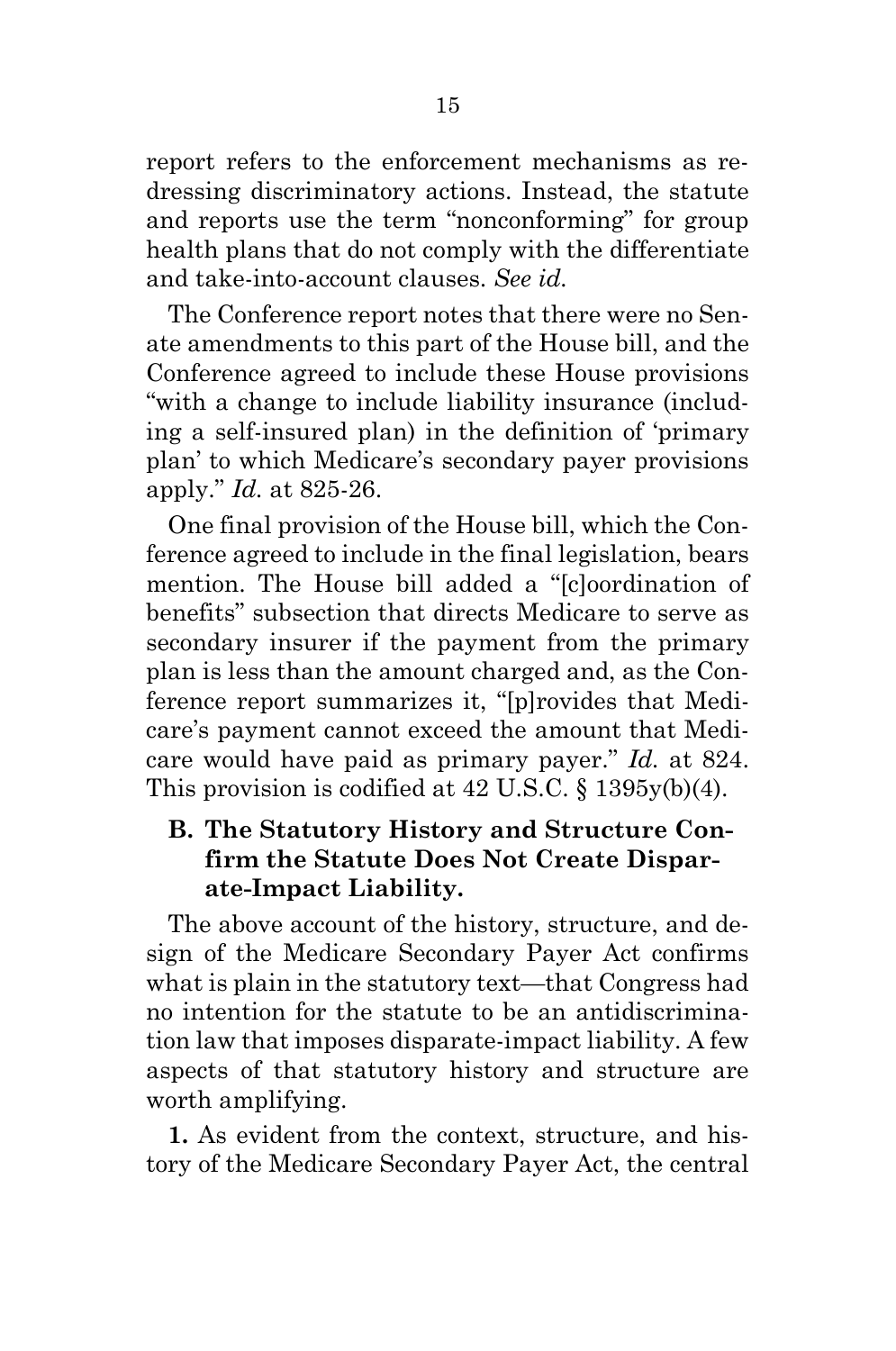report refers to the enforcement mechanisms as redressing discriminatory actions. Instead, the statute and reports use the term "nonconforming" for group health plans that do not comply with the differentiate and take-into-account clauses. *See id.*

The Conference report notes that there were no Senate amendments to this part of the House bill, and the Conference agreed to include these House provisions "with a change to include liability insurance (including a self-insured plan) in the definition of 'primary plan' to which Medicare's secondary payer provisions apply." *Id.* at 825-26.

One final provision of the House bill, which the Conference agreed to include in the final legislation, bears mention. The House bill added a "[c]oordination of benefits" subsection that directs Medicare to serve as secondary insurer if the payment from the primary plan is less than the amount charged and, as the Conference report summarizes it, "[p]rovides that Medicare's payment cannot exceed the amount that Medicare would have paid as primary payer." *Id.* at 824. This provision is codified at 42 U.S.C. § 1395y(b)(4).

## <span id="page-19-0"></span>**B. The Statutory History and Structure Confirm the Statute Does Not Create Disparate-Impact Liability.**

The above account of the history, structure, and design of the Medicare Secondary Payer Act confirms what is plain in the statutory text—that Congress had no intention for the statute to be an antidiscrimination law that imposes disparate-impact liability. A few aspects of that statutory history and structure are worth amplifying.

**1.** As evident from the context, structure, and history of the Medicare Secondary Payer Act, the central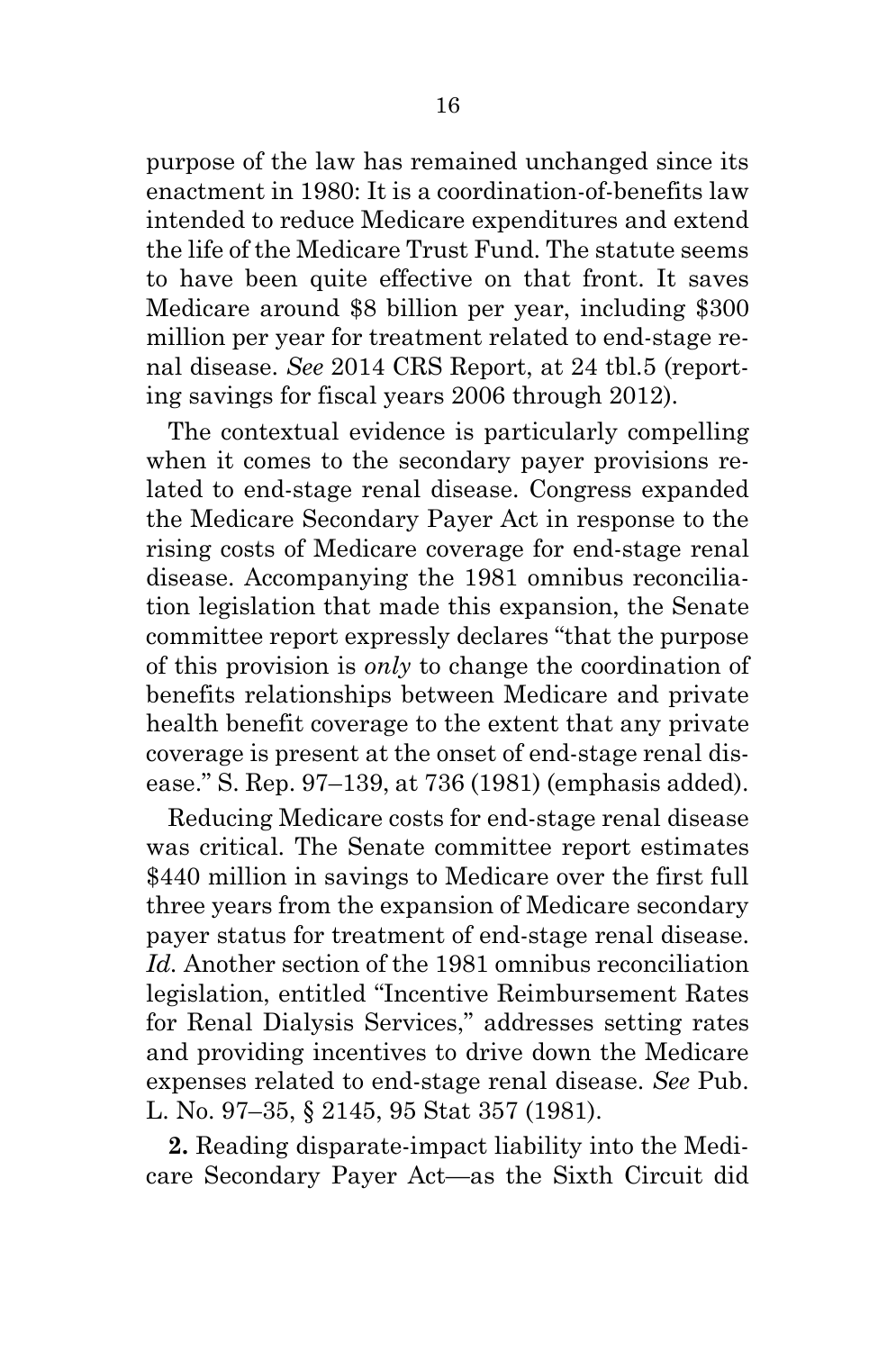purpose of the law has remained unchanged since its enactment in 1980: It is a coordination-of-benefits law intended to reduce Medicare expenditures and extend the life of the Medicare Trust Fund. The statute seems to have been quite effective on that front. It saves Medicare around \$8 billion per year, including \$300 million per year for treatment related to end-stage renal disease. *See* 2014 CRS Report, at 24 tbl.5 (reporting savings for fiscal years 2006 through 2012).

The contextual evidence is particularly compelling when it comes to the secondary payer provisions related to end-stage renal disease. Congress expanded the Medicare Secondary Payer Act in response to the rising costs of Medicare coverage for end-stage renal disease. Accompanying the 1981 omnibus reconciliation legislation that made this expansion, the Senate committee report expressly declares "that the purpose of this provision is *only* to change the coordination of benefits relationships between Medicare and private health benefit coverage to the extent that any private coverage is present at the onset of end-stage renal disease." S. Rep. 97–139, at 736 (1981) (emphasis added).

Reducing Medicare costs for end-stage renal disease was critical. The Senate committee report estimates \$440 million in savings to Medicare over the first full three years from the expansion of Medicare secondary payer status for treatment of end-stage renal disease. *Id.* Another section of the 1981 omnibus reconciliation legislation, entitled "Incentive Reimbursement Rates for Renal Dialysis Services," addresses setting rates and providing incentives to drive down the Medicare expenses related to end-stage renal disease. *See* Pub. L. No. 97–35, § 2145, 95 Stat 357 (1981).

**2.** Reading disparate-impact liability into the Medicare Secondary Payer Act—as the Sixth Circuit did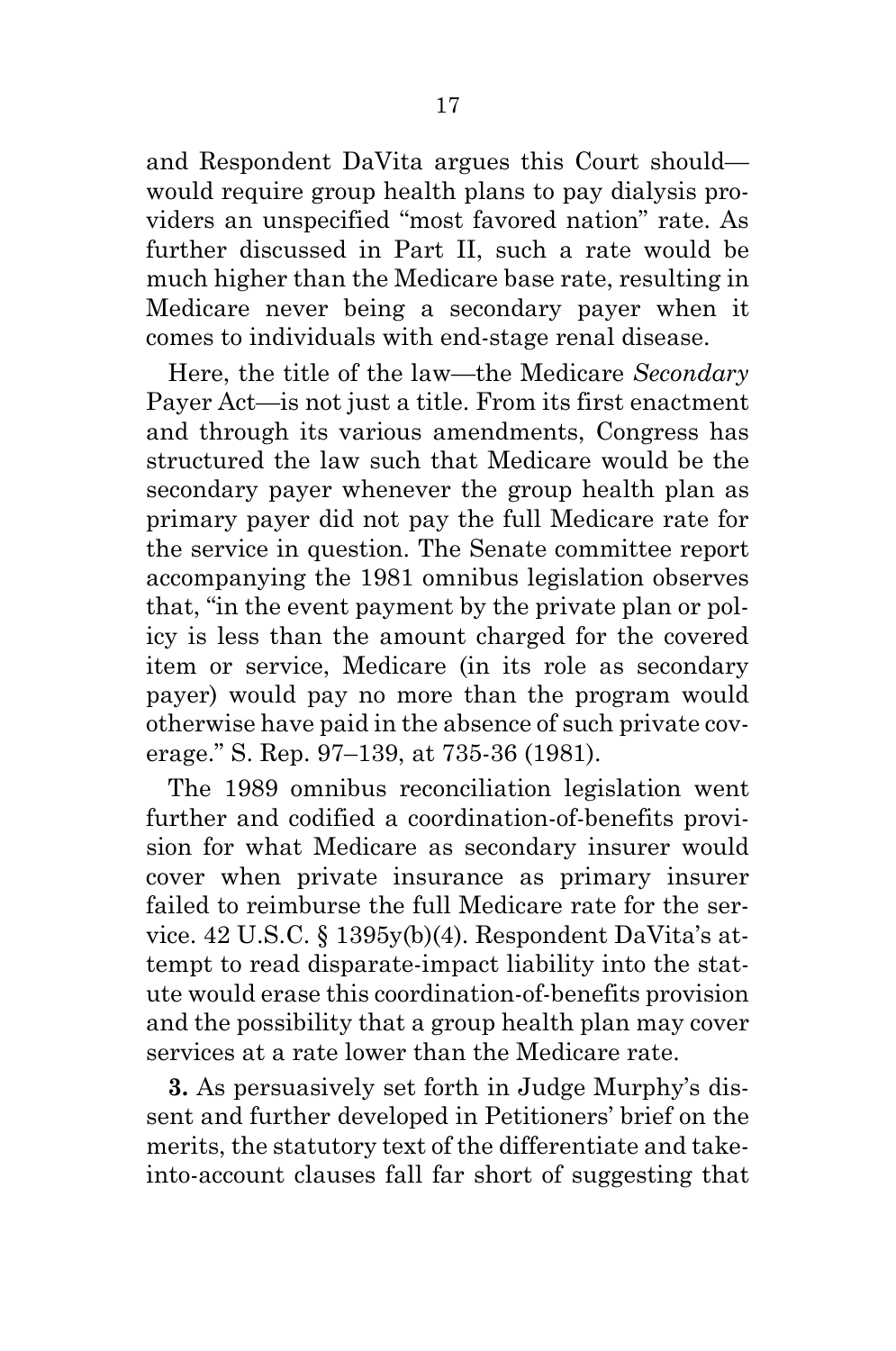and Respondent DaVita argues this Court should would require group health plans to pay dialysis providers an unspecified "most favored nation" rate. As further discussed in Part II, such a rate would be much higher than the Medicare base rate, resulting in Medicare never being a secondary payer when it comes to individuals with end-stage renal disease.

Here, the title of the law—the Medicare *Secondary* Payer Act—is not just a title. From its first enactment and through its various amendments, Congress has structured the law such that Medicare would be the secondary payer whenever the group health plan as primary payer did not pay the full Medicare rate for the service in question. The Senate committee report accompanying the 1981 omnibus legislation observes that, "in the event payment by the private plan or policy is less than the amount charged for the covered item or service, Medicare (in its role as secondary payer) would pay no more than the program would otherwise have paid in the absence of such private coverage." S. Rep. 97–139, at 735-36 (1981).

The 1989 omnibus reconciliation legislation went further and codified a coordination-of-benefits provision for what Medicare as secondary insurer would cover when private insurance as primary insurer failed to reimburse the full Medicare rate for the service. 42 U.S.C. § 1395y(b)(4). Respondent DaVita's attempt to read disparate-impact liability into the statute would erase this coordination-of-benefits provision and the possibility that a group health plan may cover services at a rate lower than the Medicare rate.

**3.** As persuasively set forth in Judge Murphy's dissent and further developed in Petitioners' brief on the merits, the statutory text of the differentiate and takeinto-account clauses fall far short of suggesting that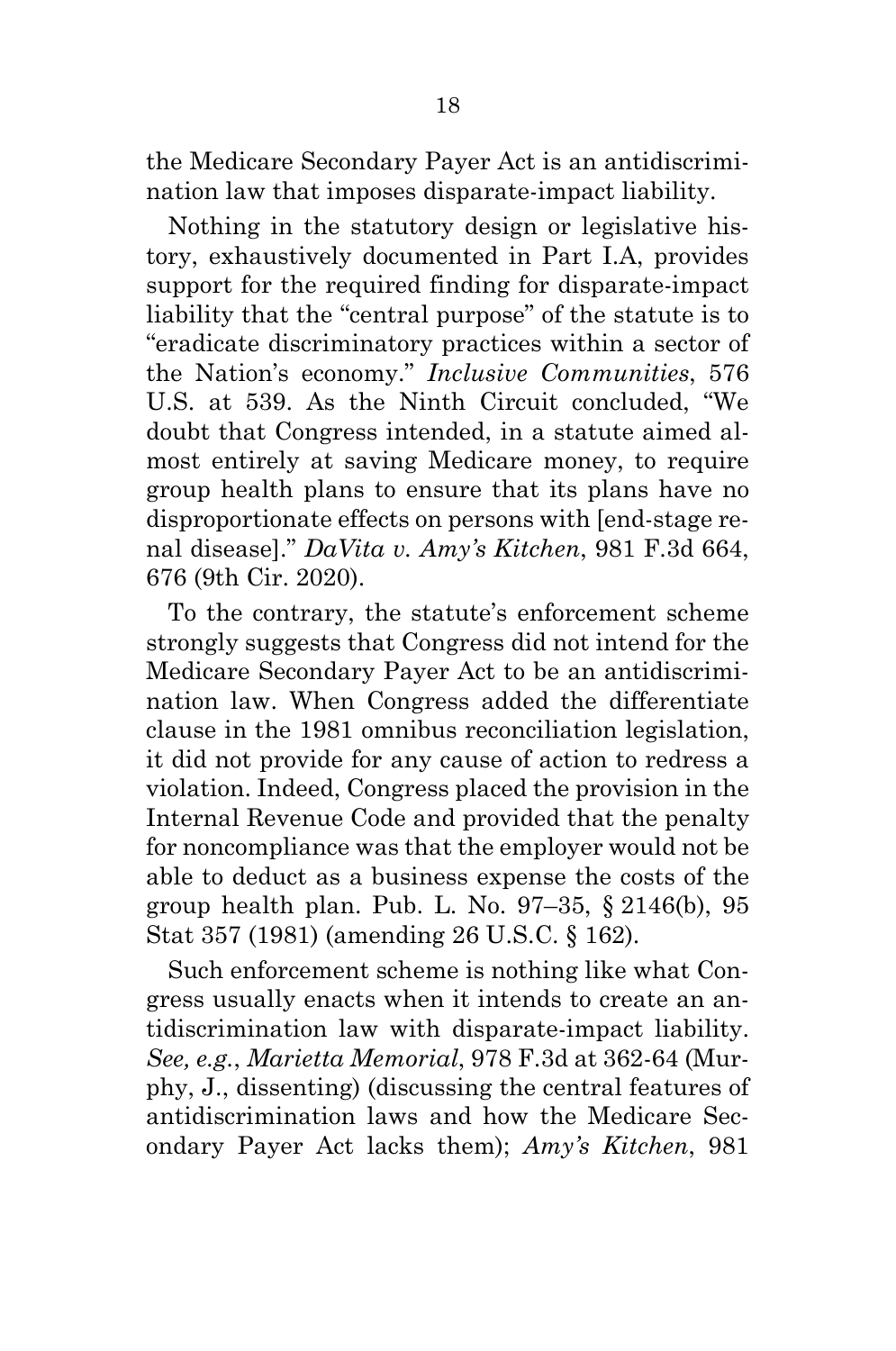the Medicare Secondary Payer Act is an antidiscrimination law that imposes disparate-impact liability.

Nothing in the statutory design or legislative history, exhaustively documented in Part I.A, provides support for the required finding for disparate-impact liability that the "central purpose" of the statute is to "eradicate discriminatory practices within a sector of the Nation's economy." *Inclusive Communities*, 576 U.S. at 539. As the Ninth Circuit concluded, "We doubt that Congress intended, in a statute aimed almost entirely at saving Medicare money, to require group health plans to ensure that its plans have no disproportionate effects on persons with [end-stage renal disease]." *DaVita v. Amy's Kitchen*, 981 F.3d 664, 676 (9th Cir. 2020).

To the contrary, the statute's enforcement scheme strongly suggests that Congress did not intend for the Medicare Secondary Payer Act to be an antidiscrimination law. When Congress added the differentiate clause in the 1981 omnibus reconciliation legislation, it did not provide for any cause of action to redress a violation. Indeed, Congress placed the provision in the Internal Revenue Code and provided that the penalty for noncompliance was that the employer would not be able to deduct as a business expense the costs of the group health plan. Pub. L. No. 97–35, § 2146(b), 95 Stat 357 (1981) (amending 26 U.S.C. § 162).

Such enforcement scheme is nothing like what Congress usually enacts when it intends to create an antidiscrimination law with disparate-impact liability. *See, e.g.*, *Marietta Memorial*, 978 F.3d at 362-64 (Murphy, J., dissenting) (discussing the central features of antidiscrimination laws and how the Medicare Secondary Payer Act lacks them); *Amy's Kitchen*, 981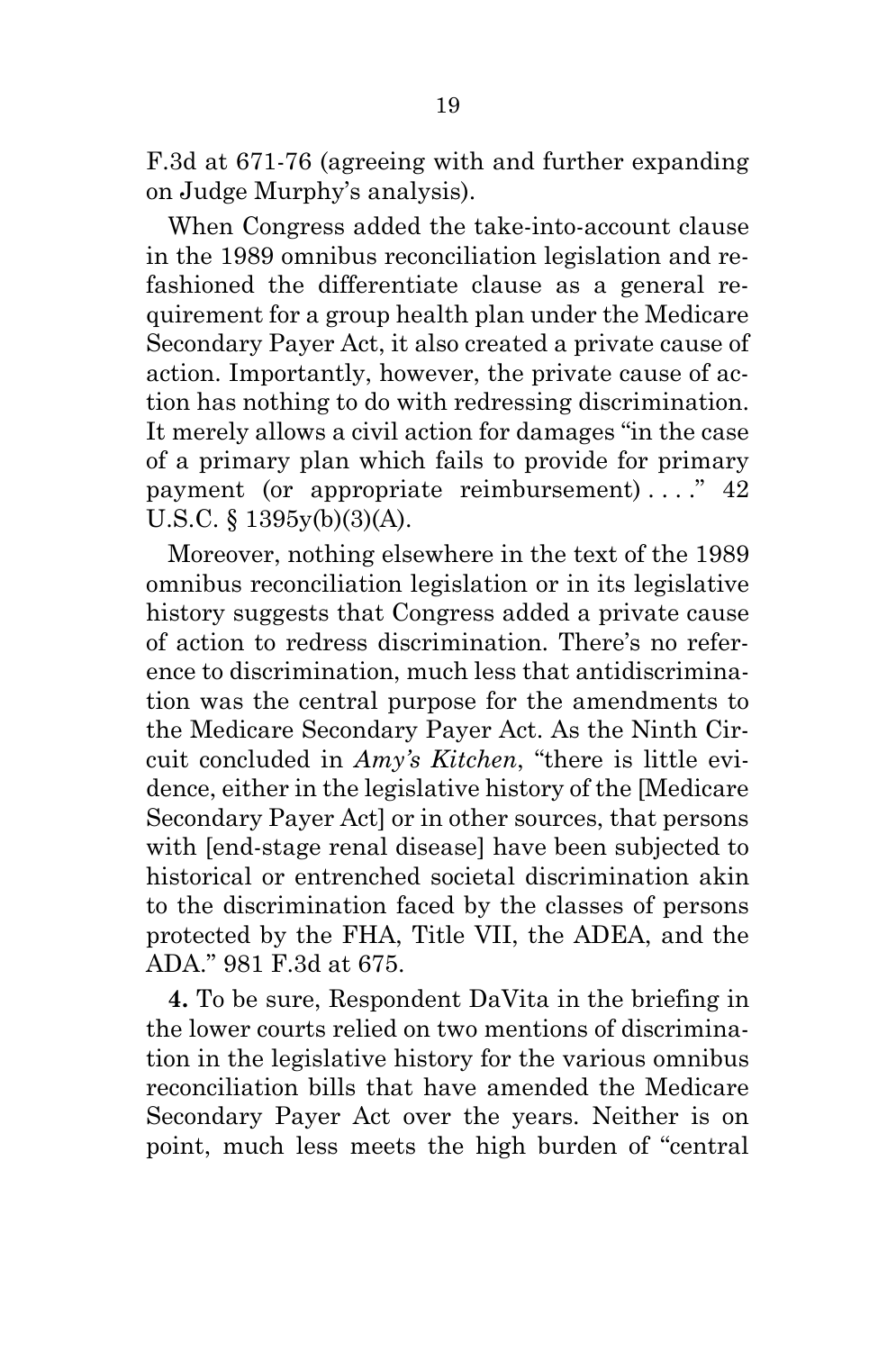F.3d at 671-76 (agreeing with and further expanding on Judge Murphy's analysis).

When Congress added the take-into-account clause in the 1989 omnibus reconciliation legislation and refashioned the differentiate clause as a general requirement for a group health plan under the Medicare Secondary Payer Act, it also created a private cause of action. Importantly, however, the private cause of action has nothing to do with redressing discrimination. It merely allows a civil action for damages "in the case of a primary plan which fails to provide for primary payment (or appropriate reimbursement)...." 42 U.S.C. § 1395y(b)(3)(A).

Moreover, nothing elsewhere in the text of the 1989 omnibus reconciliation legislation or in its legislative history suggests that Congress added a private cause of action to redress discrimination. There's no reference to discrimination, much less that antidiscrimination was the central purpose for the amendments to the Medicare Secondary Payer Act. As the Ninth Circuit concluded in *Amy's Kitchen*, "there is little evidence, either in the legislative history of the [Medicare Secondary Payer Act] or in other sources, that persons with [end-stage renal disease] have been subjected to historical or entrenched societal discrimination akin to the discrimination faced by the classes of persons protected by the FHA, Title VII, the ADEA, and the ADA." 981 F.3d at 675.

**4.** To be sure, Respondent DaVita in the briefing in the lower courts relied on two mentions of discrimination in the legislative history for the various omnibus reconciliation bills that have amended the Medicare Secondary Payer Act over the years. Neither is on point, much less meets the high burden of "central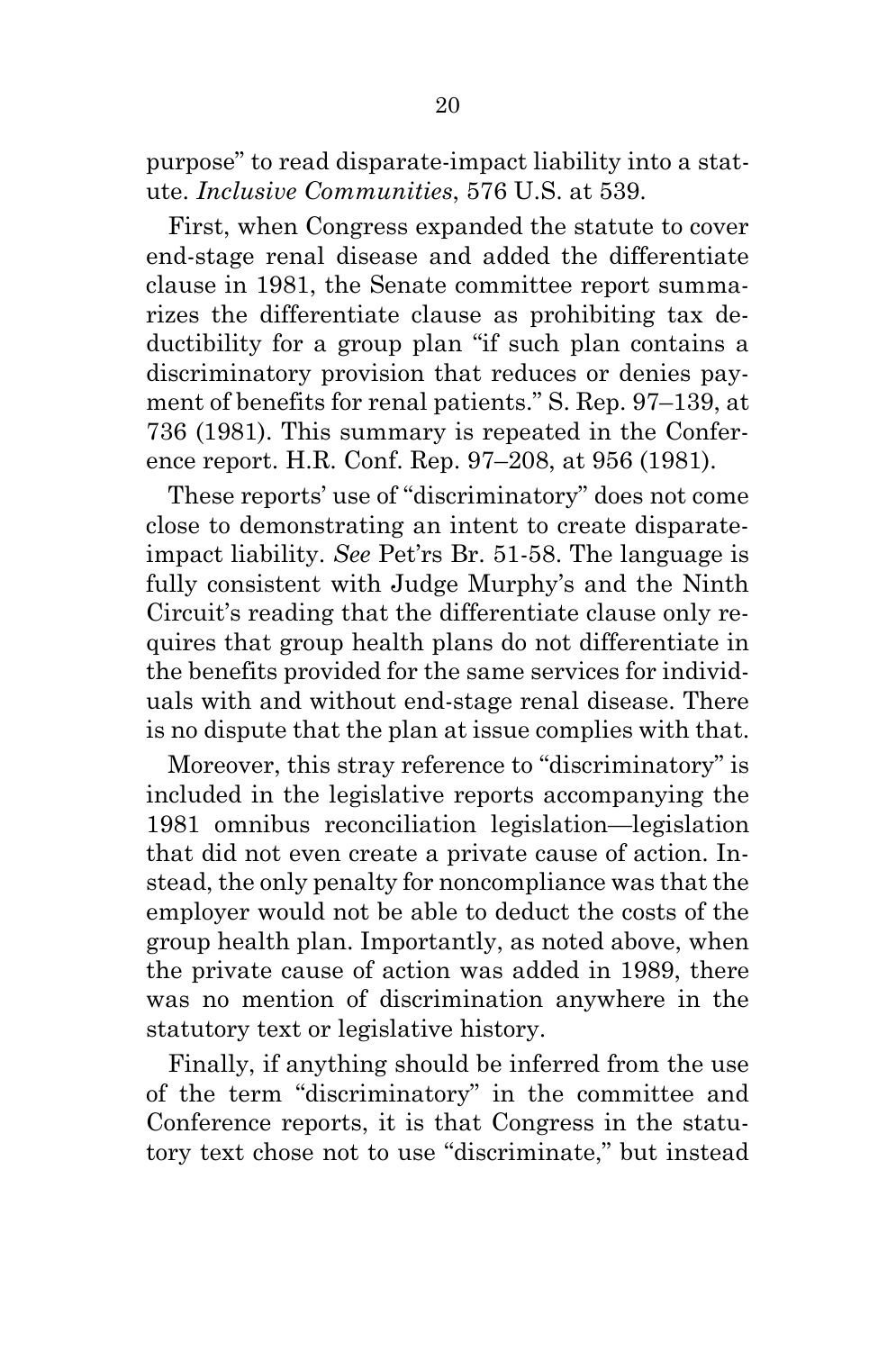purpose" to read disparate-impact liability into a statute. *Inclusive Communities*, 576 U.S. at 539.

First, when Congress expanded the statute to cover end-stage renal disease and added the differentiate clause in 1981, the Senate committee report summarizes the differentiate clause as prohibiting tax deductibility for a group plan "if such plan contains a discriminatory provision that reduces or denies payment of benefits for renal patients." S. Rep. 97–139, at 736 (1981). This summary is repeated in the Conference report. H.R. Conf. Rep. 97–208, at 956 (1981).

These reports' use of "discriminatory" does not come close to demonstrating an intent to create disparateimpact liability. *See* Pet'rs Br. 51-58. The language is fully consistent with Judge Murphy's and the Ninth Circuit's reading that the differentiate clause only requires that group health plans do not differentiate in the benefits provided for the same services for individuals with and without end-stage renal disease. There is no dispute that the plan at issue complies with that.

Moreover, this stray reference to "discriminatory" is included in the legislative reports accompanying the 1981 omnibus reconciliation legislation—legislation that did not even create a private cause of action. Instead, the only penalty for noncompliance was that the employer would not be able to deduct the costs of the group health plan. Importantly, as noted above, when the private cause of action was added in 1989, there was no mention of discrimination anywhere in the statutory text or legislative history.

Finally, if anything should be inferred from the use of the term "discriminatory" in the committee and Conference reports, it is that Congress in the statutory text chose not to use "discriminate," but instead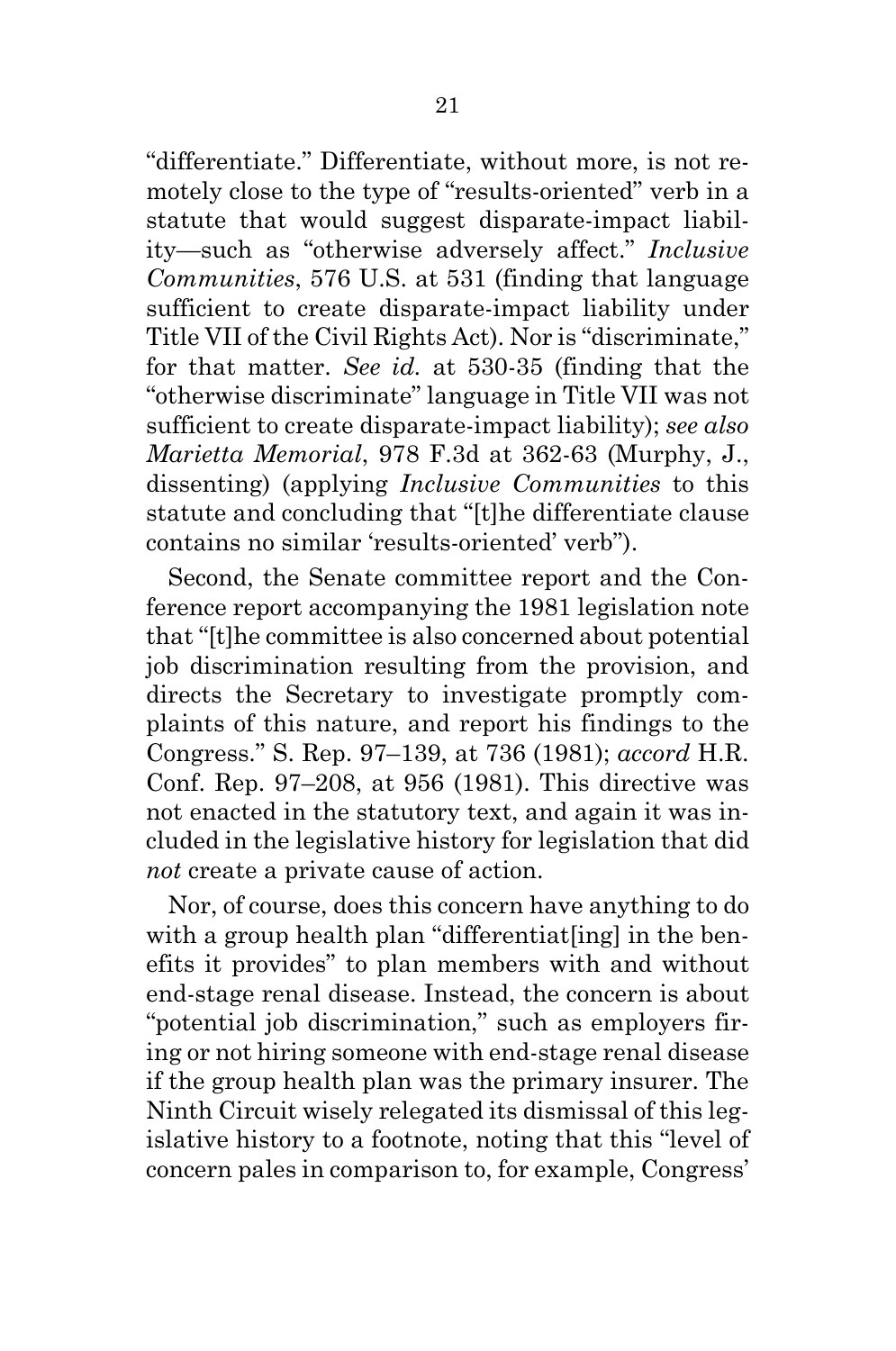"differentiate." Differentiate, without more, is not remotely close to the type of "results-oriented" verb in a statute that would suggest disparate-impact liability—such as "otherwise adversely affect." *Inclusive Communities*, 576 U.S. at 531 (finding that language sufficient to create disparate-impact liability under Title VII of the Civil Rights Act). Nor is "discriminate," for that matter. *See id.* at 530-35 (finding that the "otherwise discriminate" language in Title VII was not sufficient to create disparate-impact liability); *see also Marietta Memorial*, 978 F.3d at 362-63 (Murphy, J., dissenting) (applying *Inclusive Communities* to this statute and concluding that "[t]he differentiate clause contains no similar 'results-oriented' verb").

Second, the Senate committee report and the Conference report accompanying the 1981 legislation note that "[t]he committee is also concerned about potential job discrimination resulting from the provision, and directs the Secretary to investigate promptly complaints of this nature, and report his findings to the Congress." S. Rep. 97–139, at 736 (1981); *accord* H.R. Conf. Rep. 97–208, at 956 (1981). This directive was not enacted in the statutory text, and again it was included in the legislative history for legislation that did *not* create a private cause of action.

Nor, of course, does this concern have anything to do with a group health plan "differentiat[ing] in the benefits it provides" to plan members with and without end-stage renal disease. Instead, the concern is about "potential job discrimination," such as employers firing or not hiring someone with end-stage renal disease if the group health plan was the primary insurer. The Ninth Circuit wisely relegated its dismissal of this legislative history to a footnote, noting that this "level of concern pales in comparison to, for example, Congress'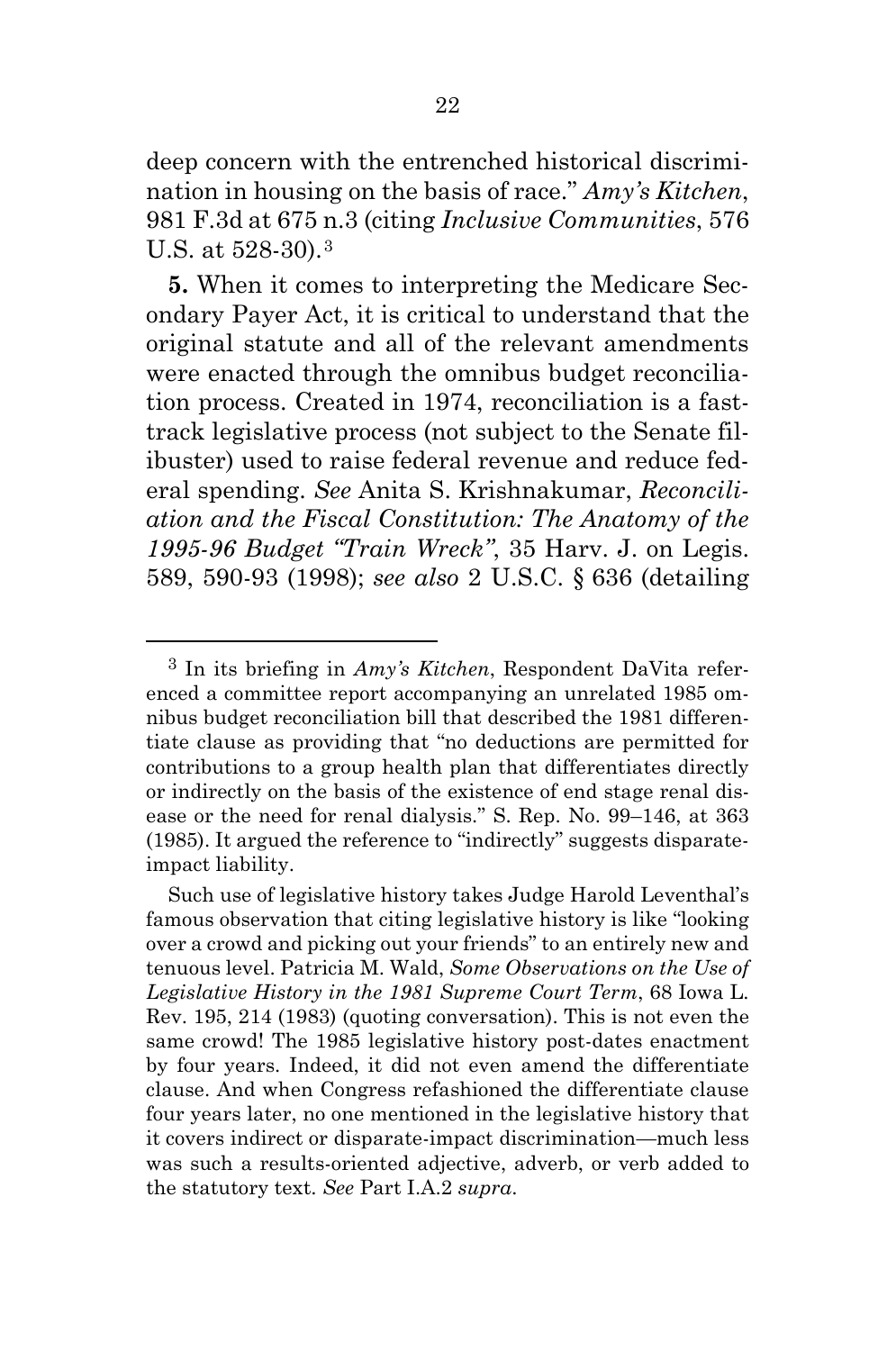deep concern with the entrenched historical discrimination in housing on the basis of race." *Amy's Kitchen*, 981 F.3d at 675 n.3 (citing *Inclusive Communities*, 576 U.S. at 528-30).[3](#page-26-0)

**5.** When it comes to interpreting the Medicare Secondary Payer Act, it is critical to understand that the original statute and all of the relevant amendments were enacted through the omnibus budget reconciliation process. Created in 1974, reconciliation is a fasttrack legislative process (not subject to the Senate filibuster) used to raise federal revenue and reduce federal spending. *See* Anita S. Krishnakumar, *Reconciliation and the Fiscal Constitution: The Anatomy of the 1995-96 Budget "Train Wreck"*, 35 Harv. J. on Legis. 589, 590-93 (1998); *see also* 2 U.S.C. § 636 (detailing

<span id="page-26-0"></span><sup>3</sup> In its briefing in *Amy's Kitchen*, Respondent DaVita referenced a committee report accompanying an unrelated 1985 omnibus budget reconciliation bill that described the 1981 differentiate clause as providing that "no deductions are permitted for contributions to a group health plan that differentiates directly or indirectly on the basis of the existence of end stage renal disease or the need for renal dialysis." S. Rep. No. 99–146, at 363 (1985). It argued the reference to "indirectly" suggests disparateimpact liability.

Such use of legislative history takes Judge Harold Leventhal's famous observation that citing legislative history is like "looking over a crowd and picking out your friends" to an entirely new and tenuous level. Patricia M. Wald, *Some Observations on the Use of Legislative History in the 1981 Supreme Court Term*, 68 Iowa L. Rev. 195, 214 (1983) (quoting conversation). This is not even the same crowd! The 1985 legislative history post-dates enactment by four years. Indeed, it did not even amend the differentiate clause. And when Congress refashioned the differentiate clause four years later, no one mentioned in the legislative history that it covers indirect or disparate-impact discrimination—much less was such a results-oriented adjective, adverb, or verb added to the statutory text. *See* Part I.A.2 *supra*.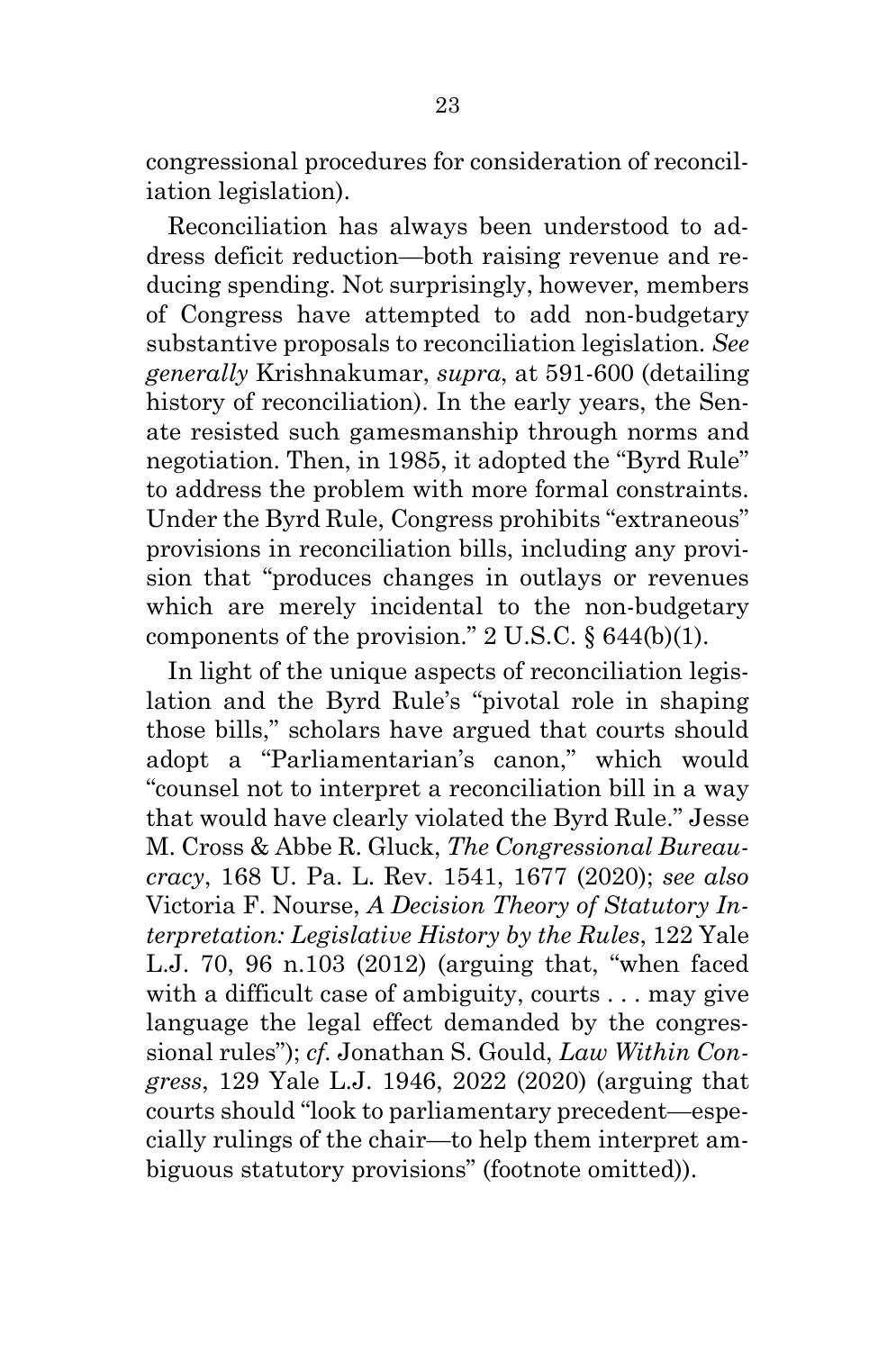congressional procedures for consideration of reconciliation legislation).

Reconciliation has always been understood to address deficit reduction—both raising revenue and reducing spending. Not surprisingly, however, members of Congress have attempted to add non-budgetary substantive proposals to reconciliation legislation. *See generally* Krishnakumar, *supra*, at 591-600 (detailing history of reconciliation). In the early years, the Senate resisted such gamesmanship through norms and negotiation. Then, in 1985, it adopted the "Byrd Rule" to address the problem with more formal constraints. Under the Byrd Rule, Congress prohibits "extraneous" provisions in reconciliation bills, including any provision that "produces changes in outlays or revenues which are merely incidental to the non-budgetary components of the provision."  $2 \text{ U.S.C. } §644(b)(1)$ .

In light of the unique aspects of reconciliation legislation and the Byrd Rule's "pivotal role in shaping those bills," scholars have argued that courts should adopt a "Parliamentarian's canon," which would "counsel not to interpret a reconciliation bill in a way that would have clearly violated the Byrd Rule." Jesse M. Cross & Abbe R. Gluck, *The Congressional Bureaucracy*, 168 U. Pa. L. Rev. 1541, 1677 (2020); *see also* Victoria F. Nourse, *A Decision Theory of Statutory Interpretation: Legislative History by the Rules*, 122 Yale L.J. 70, 96 n.103 (2012) (arguing that, "when faced with a difficult case of ambiguity, courts . . . may give language the legal effect demanded by the congressional rules"); *cf.* Jonathan S. Gould, *Law Within Congress*, 129 Yale L.J. 1946, 2022 (2020) (arguing that courts should "look to parliamentary precedent—especially rulings of the chair—to help them interpret ambiguous statutory provisions" (footnote omitted)).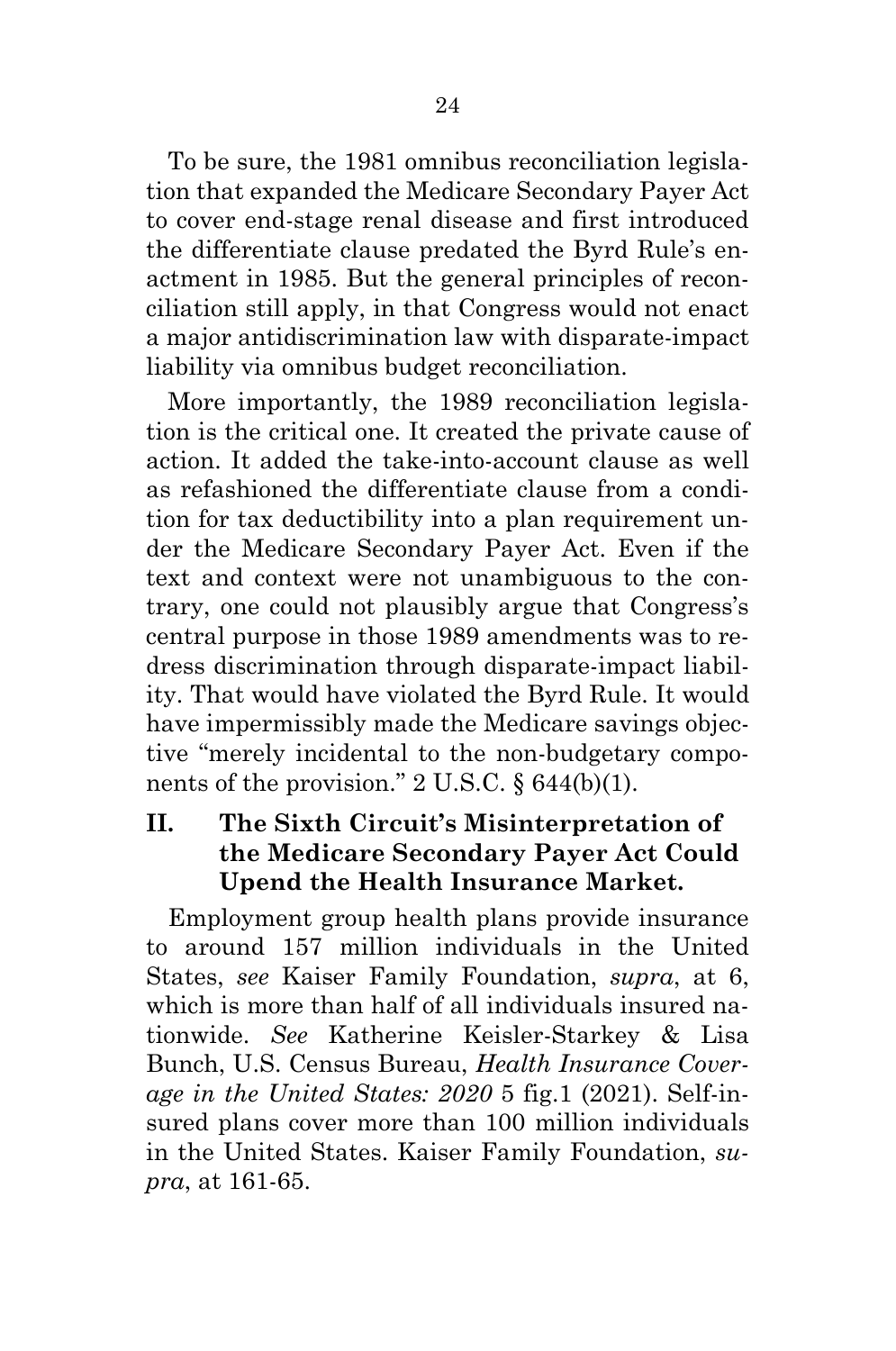To be sure, the 1981 omnibus reconciliation legislation that expanded the Medicare Secondary Payer Act to cover end-stage renal disease and first introduced the differentiate clause predated the Byrd Rule's enactment in 1985. But the general principles of reconciliation still apply, in that Congress would not enact a major antidiscrimination law with disparate-impact liability via omnibus budget reconciliation.

More importantly, the 1989 reconciliation legislation is the critical one. It created the private cause of action. It added the take-into-account clause as well as refashioned the differentiate clause from a condition for tax deductibility into a plan requirement under the Medicare Secondary Payer Act. Even if the text and context were not unambiguous to the contrary, one could not plausibly argue that Congress's central purpose in those 1989 amendments was to redress discrimination through disparate-impact liability. That would have violated the Byrd Rule. It would have impermissibly made the Medicare savings objective "merely incidental to the non-budgetary components of the provision."  $2 \text{ U.S.C. }$  § 644(b)(1).

## <span id="page-28-0"></span>**II. The Sixth Circuit's Misinterpretation of the Medicare Secondary Payer Act Could Upend the Health Insurance Market.**

Employment group health plans provide insurance to around 157 million individuals in the United States, *see* Kaiser Family Foundation, *supra*, at 6, which is more than half of all individuals insured nationwide. *See* Katherine Keisler-Starkey & Lisa Bunch, U.S. Census Bureau, *Health Insurance Coverage in the United States: 2020* 5 fig.1 (2021). Self-insured plans cover more than 100 million individuals in the United States. Kaiser Family Foundation, *supra*, at 161-65.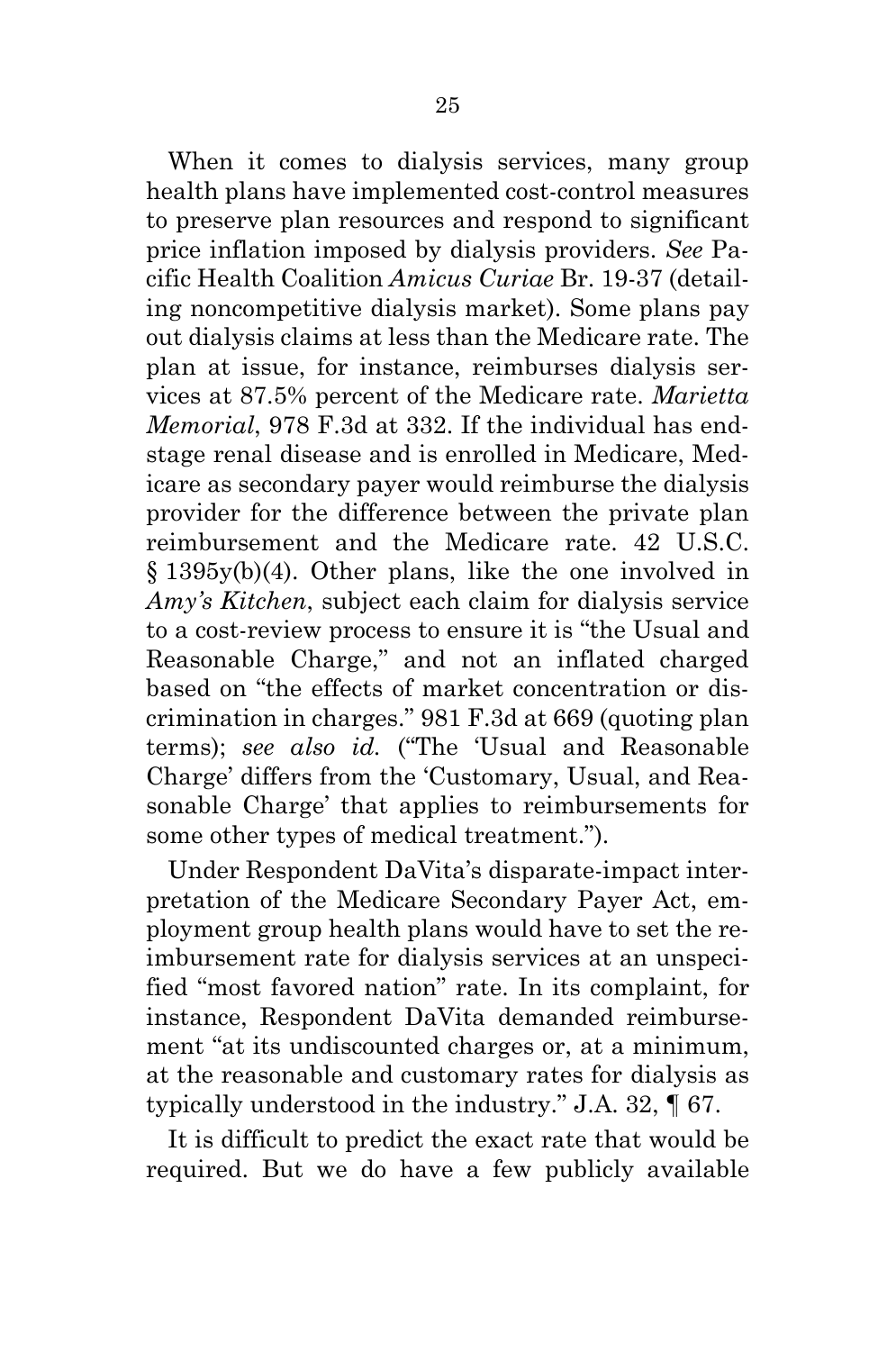When it comes to dialysis services, many group health plans have implemented cost-control measures to preserve plan resources and respond to significant price inflation imposed by dialysis providers. *See* Pacific Health Coalition *Amicus Curiae* Br. 19-37 (detailing noncompetitive dialysis market). Some plans pay out dialysis claims at less than the Medicare rate. The plan at issue, for instance, reimburses dialysis services at 87.5% percent of the Medicare rate. *Marietta Memorial*, 978 F.3d at 332. If the individual has endstage renal disease and is enrolled in Medicare, Medicare as secondary payer would reimburse the dialysis provider for the difference between the private plan reimbursement and the Medicare rate. 42 U.S.C. § 1395y(b)(4). Other plans, like the one involved in *Amy's Kitchen*, subject each claim for dialysis service to a cost-review process to ensure it is "the Usual and Reasonable Charge," and not an inflated charged based on "the effects of market concentration or discrimination in charges." 981 F.3d at 669 (quoting plan terms); *see also id.* ("The 'Usual and Reasonable Charge' differs from the 'Customary, Usual, and Reasonable Charge' that applies to reimbursements for some other types of medical treatment.").

Under Respondent DaVita's disparate-impact interpretation of the Medicare Secondary Payer Act, employment group health plans would have to set the reimbursement rate for dialysis services at an unspecified "most favored nation" rate. In its complaint, for instance, Respondent DaVita demanded reimbursement "at its undiscounted charges or, at a minimum, at the reasonable and customary rates for dialysis as typically understood in the industry." J.A. 32, ¶ 67.

It is difficult to predict the exact rate that would be required. But we do have a few publicly available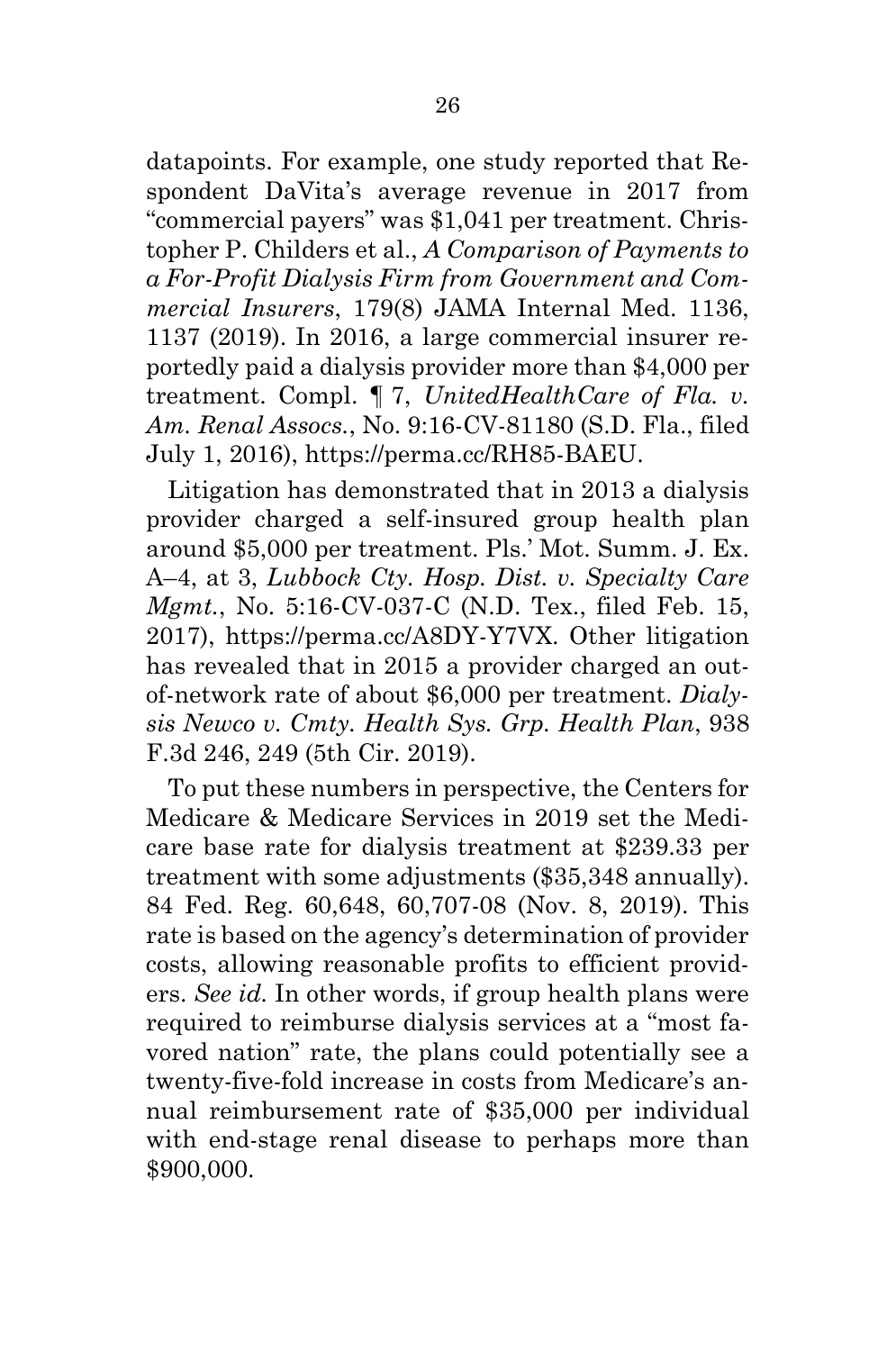datapoints. For example, one study reported that Respondent DaVita's average revenue in 2017 from "commercial payers" was \$1,041 per treatment. Christopher P. Childers et al., *A Comparison of Payments to a For-Profit Dialysis Firm from Government and Commercial Insurers*, 179(8) JAMA Internal Med. 1136, 1137 (2019). In 2016, a large commercial insurer reportedly paid a dialysis provider more than \$4,000 per treatment. Compl. ¶ 7, *UnitedHealthCare of Fla. v. Am. Renal Assocs.*, No. 9:16-CV-81180 (S.D. Fla., filed July 1, 2016), https://perma.cc/RH85-BAEU.

Litigation has demonstrated that in 2013 a dialysis provider charged a self-insured group health plan around \$5,000 per treatment. Pls.' Mot. Summ. J. Ex. A–4, at 3, *Lubbock Cty. Hosp. Dist. v. Specialty Care Mgmt.*, No. 5:16-CV-037-C (N.D. Tex., filed Feb. 15, 2017), https://perma.cc/A8DY-Y7VX. Other litigation has revealed that in 2015 a provider charged an outof-network rate of about \$6,000 per treatment. *Dialysis Newco v. Cmty. Health Sys. Grp. Health Plan*, 938 F.3d 246, 249 (5th Cir. 2019).

To put these numbers in perspective, the Centers for Medicare & Medicare Services in 2019 set the Medicare base rate for dialysis treatment at \$239.33 per treatment with some adjustments (\$35,348 annually). 84 Fed. Reg. 60,648, 60,707-08 (Nov. 8, 2019). This rate is based on the agency's determination of provider costs, allowing reasonable profits to efficient providers. *See id.* In other words, if group health plans were required to reimburse dialysis services at a "most favored nation" rate, the plans could potentially see a twenty-five-fold increase in costs from Medicare's annual reimbursement rate of \$35,000 per individual with end-stage renal disease to perhaps more than \$900,000.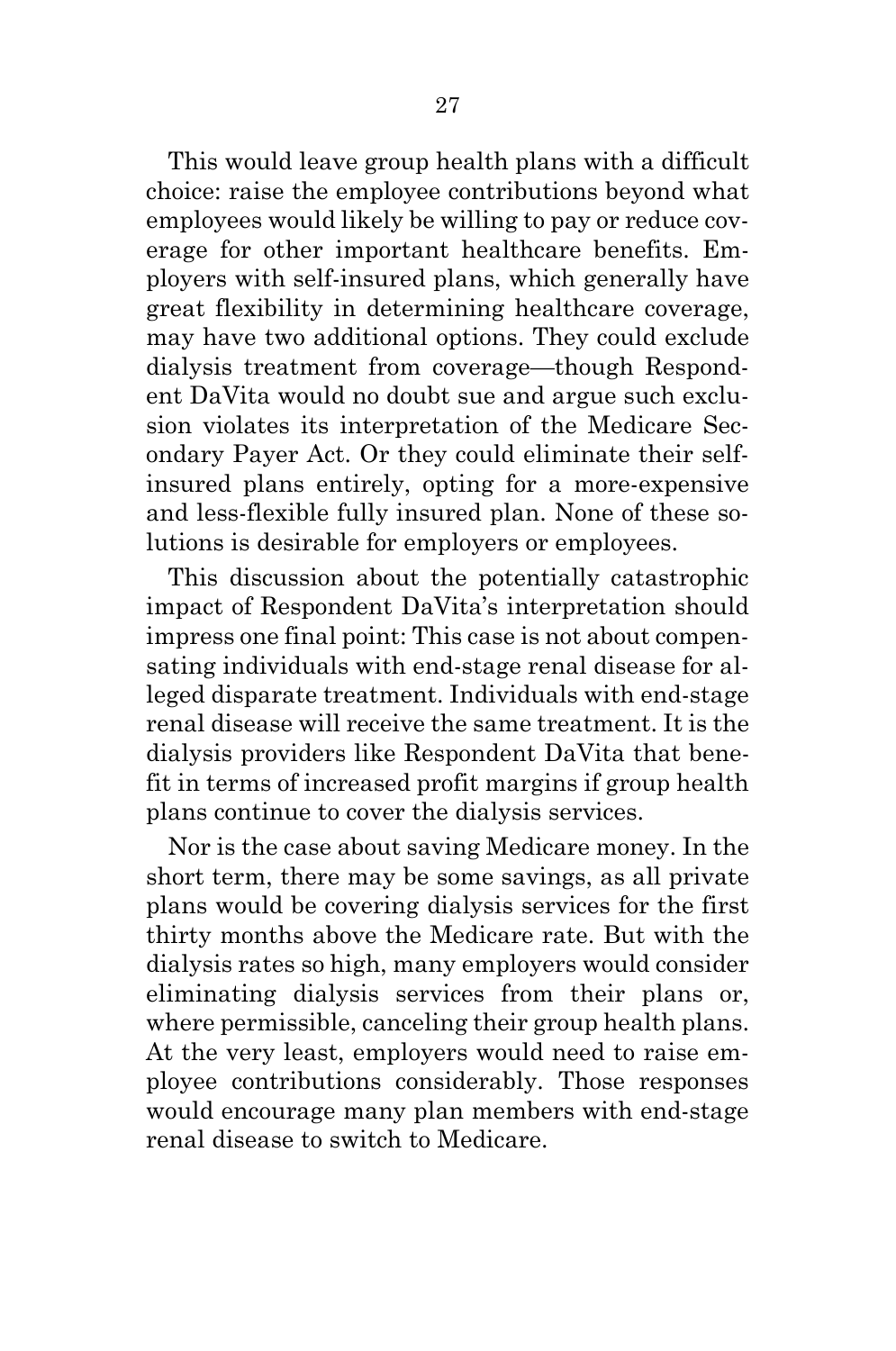This would leave group health plans with a difficult choice: raise the employee contributions beyond what employees would likely be willing to pay or reduce coverage for other important healthcare benefits. Employers with self-insured plans, which generally have great flexibility in determining healthcare coverage, may have two additional options. They could exclude dialysis treatment from coverage—though Respondent DaVita would no doubt sue and argue such exclusion violates its interpretation of the Medicare Secondary Payer Act. Or they could eliminate their selfinsured plans entirely, opting for a more-expensive and less-flexible fully insured plan. None of these solutions is desirable for employers or employees.

This discussion about the potentially catastrophic impact of Respondent DaVita's interpretation should impress one final point: This case is not about compensating individuals with end-stage renal disease for alleged disparate treatment. Individuals with end-stage renal disease will receive the same treatment. It is the dialysis providers like Respondent DaVita that benefit in terms of increased profit margins if group health plans continue to cover the dialysis services.

Nor is the case about saving Medicare money. In the short term, there may be some savings, as all private plans would be covering dialysis services for the first thirty months above the Medicare rate. But with the dialysis rates so high, many employers would consider eliminating dialysis services from their plans or, where permissible, canceling their group health plans. At the very least, employers would need to raise employee contributions considerably. Those responses would encourage many plan members with end-stage renal disease to switch to Medicare.